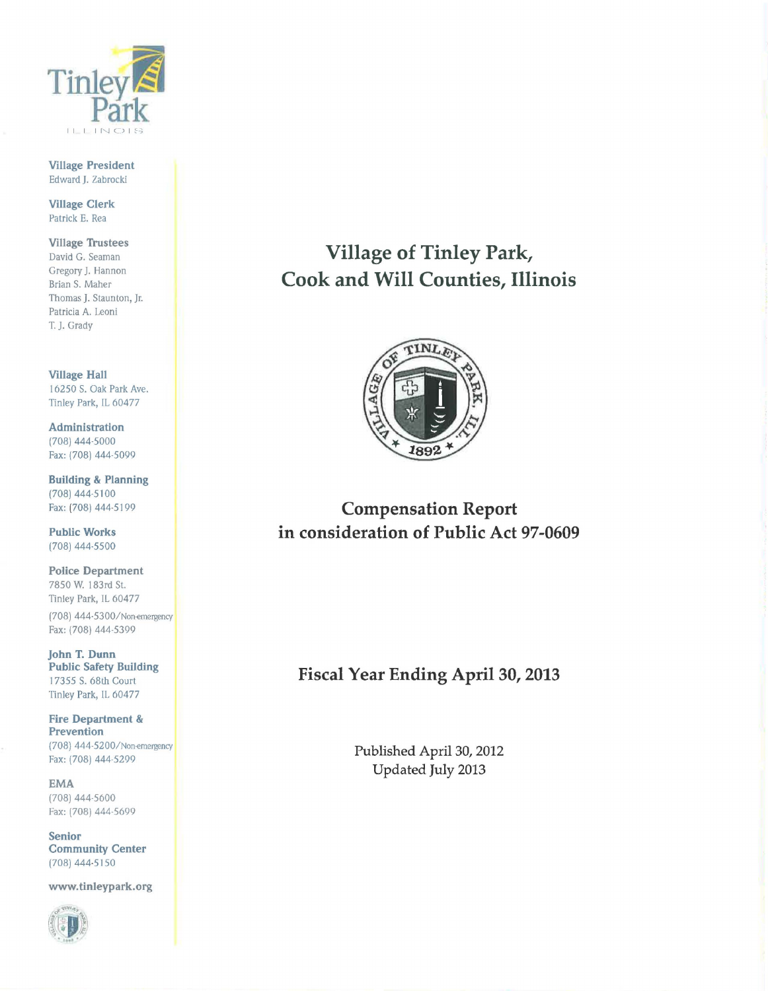

Village President Edward J. Zabrocki

Village Clerk Patrick E. Rea

Village Trustees David G. Seaman Gregory J. Hannon Brian S. Maher Thomas J. Staunton, Jr. Patricia A. Leoni T. J. Grady

Village Hall 16250 S. Oak Park Ave. Tinley Park, IL 60477

Administration (708) 444-5000 Fax: (708) 444-5099

Building & Planning (708) 444-5100 Fax: (708) 444-5199

Public Works (708) 444-5500

Police Department 7850 W. l 83rd St. Tinley Park, IL 60477 (708) 444-5300/Non-emergency

Fax: (708) 444-5399

John T. Dunn Public Safety Building I 7355 S. 68th Court Tinley Park, IL 60477

Fire Department & Prevention (708) 444-5200/Non-emergency Fax: (708) 444-5299

EMA (708) 444-5600 Fax: (708) 444-5699

Senior Community Center (708) 444-5150

www.tinleypark.org



Village of Tinley Park, Cook and Will Counties, Illinois



Compensation Report in consideration of Public Act 97-0609

# Fiscal Year Ending April 30, 2013

Published April 30, 2012 Updated July 2013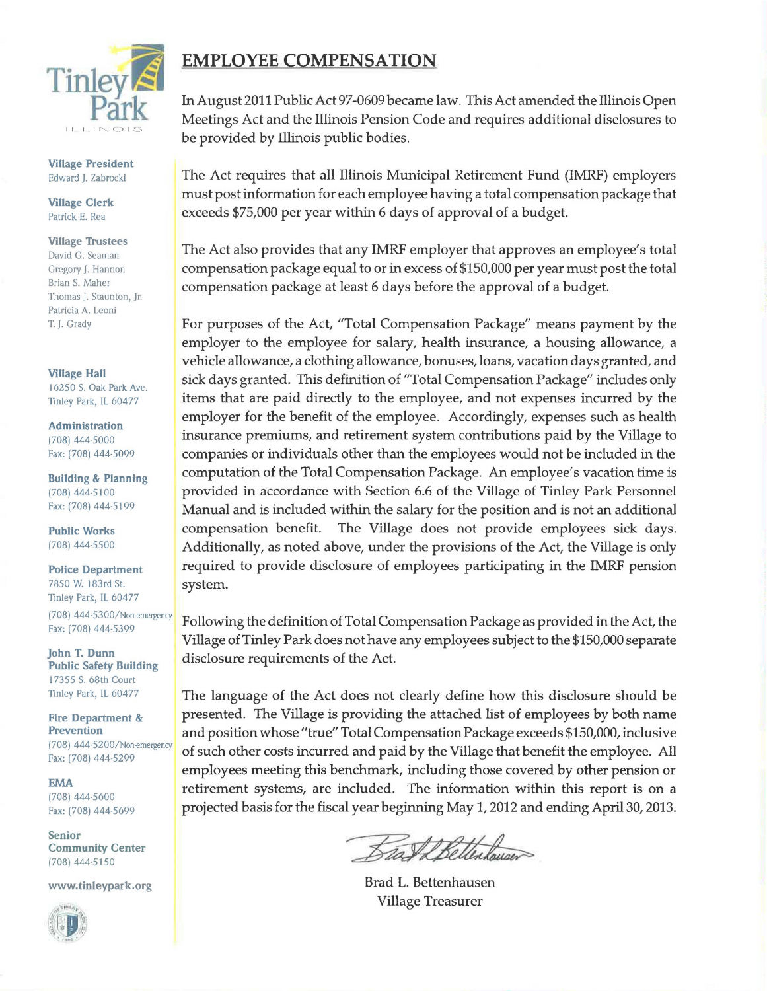

Village President Edward J. Zabrocki

Village Clerk Patrick E. Rea

**Village Trustees** David G. Seaman

Gregory J. Hannon Brian S. Maher Thomas J. Staunton, Jr. Patricia A. Leoni T. J. Grady

**Village Hall** 16250 S. Oak Park Ave. Tinley Park, IL 60477

Administration (708) 444·5000 Fax: (708) 444·5099

Building & Planning (708) 444·5100 Fax: (708) 444·5199

Public Works (708) 444·5500

Police Department 7850 W. l 83rd St. Tinley Park, IL 60477 (708) 444·5300/Non-emergency Fax: (708) 444.5399

john T. Dunn Public Safety Building 17355 S. 68th Court Tinley Park, IL 60477

Fire Department & Prevention (708) 444·5200/Non-emergency Fax: (708) 444-5299

EMA (708) 444·5600 Fax: (708) 444·5699

Senior Community Center (708) 444·5150

www.tinleypark.org



# EMPLOYEE COMPENSATION

In August 2011 Public Act 97-0609 became law. This Act amended the Illinois Open Meetings Act and the Illinois Pension Code and requires additional disclosures to be provided by Illinois public bodies.

The Act requires that all Illinois Municipal Retirement Fund (IMRF) employers must post information for each employee having a total compensation package that exceeds \$75,000 per year within 6 days of approval of a budget.

The Act also provides that any IMRF employer that approves an employee's total compensation package equal to or in excess of \$150,000 per year must post the total compensation package at least 6 days before the approval of a budget.

For purposes of the Act, "Total Compensation Package" means payment by the employer to the employee for salary, health insurance, a housing allowance, a vehicle allowance, a clothing allowance, bonuses, loans, vacation days granted, and sick days granted. This definition of "Total Compensation Package" includes only items that are paid directly to the employee, and not expenses incurred by the employer for the benefit of the employee. Accordingly, expenses such as health insurance premiums, and retirement system contributions paid by the Village to companies or individuals other than the employees would not be included in the computation of the Total Compensation Package. An employee's vacation time is provided in accordance with Section 6.6 of the Village of Tinley Park Personnel Manual and is included within the salary for the position and is not an additional compensation benefit. The Village does not provide employees sick days. Additionally, as noted above, under the provisions of the Act, the Village is only required to provide disclosure of employees participating in the IMRF pension system.

Following the definition of Total Compensation Package as provided in the Act, the Village of Tinley Park does not have any employees subject to the \$150,000 separate disclosure requirements of the Act.

The language of the Act does not clearly define how this disclosure should be presented. The Village is providing the attached list of employees by both name and position whose "true" Total Compensation Package exceeds \$150,000, inclusive of such other costs incurred and paid by the Village that benefit the employee. All employees meeting this benchmark, including those covered by other pension or retirement systems, are included. The information within this report is on a projected basis for the fiscal year beginning May 1, 2012 and ending April 30, 2013.

Bash Bettenhouser

Brad L. Bettenhausen Village Treasurer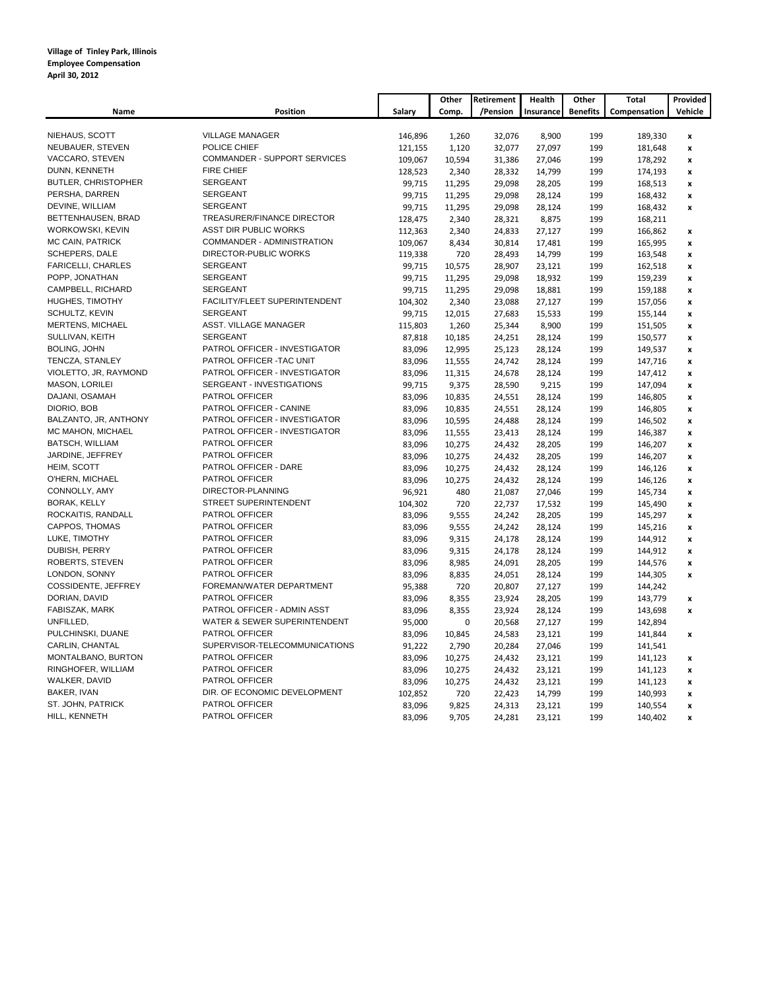|                            |                               |         | Other       | Retirement | Health    | Other           | Total        | Provided           |
|----------------------------|-------------------------------|---------|-------------|------------|-----------|-----------------|--------------|--------------------|
| Name                       | Position                      | Salary  | Comp.       | /Pension   | Insurance | <b>Benefits</b> | Compensation | Vehicle            |
|                            |                               |         |             |            |           |                 |              |                    |
| NIEHAUS, SCOTT             | <b>VILLAGE MANAGER</b>        | 146,896 | 1,260       | 32,076     | 8,900     | 199             | 189,330      | $\pmb{\mathsf{x}}$ |
| NEUBAUER, STEVEN           | POLICE CHIEF                  | 121,155 | 1,120       | 32,077     | 27,097    | 199             | 181,648      | $\pmb{\mathsf{x}}$ |
| VACCARO, STEVEN            | COMMANDER - SUPPORT SERVICES  | 109,067 | 10,594      | 31,386     | 27,046    | 199             | 178,292      | x                  |
| DUNN, KENNETH              | <b>FIRE CHIEF</b>             | 128,523 | 2,340       | 28,332     | 14,799    | 199             | 174,193      | $\pmb{\mathsf{x}}$ |
| <b>BUTLER, CHRISTOPHER</b> | SERGEANT                      | 99,715  | 11,295      | 29,098     | 28,205    | 199             | 168,513      | x                  |
| PERSHA, DARREN             | <b>SERGEANT</b>               | 99,715  | 11,295      | 29,098     | 28,124    | 199             | 168,432      | $\pmb{\mathsf{x}}$ |
| DEVINE, WILLIAM            | <b>SERGEANT</b>               | 99,715  | 11,295      | 29,098     | 28,124    | 199             | 168,432      | $\pmb{\mathsf{x}}$ |
| BETTENHAUSEN, BRAD         | TREASURER/FINANCE DIRECTOR    | 128,475 | 2,340       | 28,321     | 8,875     | 199             | 168,211      |                    |
| WORKOWSKI, KEVIN           | ASST DIR PUBLIC WORKS         | 112,363 | 2,340       | 24,833     | 27,127    | 199             | 166,862      | $\pmb{\mathsf{x}}$ |
| MC CAIN, PATRICK           | COMMANDER - ADMINISTRATION    | 109,067 | 8,434       | 30,814     | 17,481    | 199             | 165,995      | x                  |
| SCHEPERS, DALE             | DIRECTOR-PUBLIC WORKS         | 119,338 | 720         | 28,493     | 14,799    | 199             | 163,548      | $\pmb{\mathsf{x}}$ |
| <b>FARICELLI, CHARLES</b>  | <b>SERGEANT</b>               | 99,715  | 10,575      | 28,907     | 23,121    | 199             | 162,518      | x                  |
| POPP, JONATHAN             | <b>SERGEANT</b>               | 99,715  | 11,295      | 29,098     | 18,932    | 199             | 159,239      | $\pmb{\mathsf{x}}$ |
| CAMPBELL, RICHARD          | <b>SERGEANT</b>               | 99,715  | 11,295      | 29,098     | 18,881    | 199             | 159,188      | $\pmb{\mathsf{x}}$ |
| HUGHES, TIMOTHY            | FACILITY/FLEET SUPERINTENDENT | 104,302 | 2,340       | 23,088     | 27,127    | 199             | 157,056      | $\pmb{\mathsf{x}}$ |
| SCHULTZ, KEVIN             | <b>SERGEANT</b>               | 99,715  | 12,015      | 27,683     | 15,533    | 199             | 155,144      | $\pmb{\mathsf{x}}$ |
| <b>MERTENS, MICHAEL</b>    | ASST. VILLAGE MANAGER         | 115,803 | 1,260       | 25,344     | 8,900     | 199             | 151,505      | x                  |
| SULLIVAN, KEITH            | SERGEANT                      | 87,818  | 10,185      | 24,251     | 28,124    | 199             | 150,577      | $\pmb{\mathsf{x}}$ |
| <b>BOLING, JOHN</b>        | PATROL OFFICER - INVESTIGATOR | 83,096  | 12,995      | 25,123     | 28,124    | 199             | 149,537      | $\pmb{\mathsf{x}}$ |
| TENCZA, STANLEY            | PATROL OFFICER - TAC UNIT     | 83,096  | 11,555      | 24,742     | 28,124    | 199             | 147,716      | $\pmb{\mathsf{x}}$ |
| VIOLETTO, JR, RAYMOND      | PATROL OFFICER - INVESTIGATOR | 83,096  | 11,315      | 24,678     | 28,124    | 199             | 147,412      | $\pmb{\mathsf{x}}$ |
| MASON, LORILEI             | SERGEANT - INVESTIGATIONS     | 99,715  | 9,375       | 28,590     | 9,215     | 199             | 147,094      | $\pmb{\mathsf{x}}$ |
| DAJANI, OSAMAH             | PATROL OFFICER                | 83,096  | 10,835      | 24,551     | 28,124    | 199             | 146,805      | x                  |
| DIORIO, BOB                | PATROL OFFICER - CANINE       | 83,096  | 10,835      | 24,551     | 28,124    | 199             | 146,805      | x                  |
| BALZANTO, JR, ANTHONY      | PATROL OFFICER - INVESTIGATOR | 83,096  | 10,595      | 24,488     | 28,124    | 199             | 146,502      | $\pmb{\mathsf{x}}$ |
| MC MAHON, MICHAEL          | PATROL OFFICER - INVESTIGATOR | 83,096  | 11,555      | 23,413     | 28,124    | 199             | 146,387      | $\pmb{\mathsf{x}}$ |
| <b>BATSCH, WILLIAM</b>     | PATROL OFFICER                | 83,096  | 10,275      | 24,432     | 28,205    | 199             | 146,207      | $\pmb{\mathsf{x}}$ |
| JARDINE, JEFFREY           | PATROL OFFICER                | 83,096  | 10,275      | 24,432     | 28,205    | 199             | 146,207      | x                  |
| HEIM, SCOTT                | PATROL OFFICER - DARE         | 83,096  | 10,275      | 24,432     | 28,124    | 199             | 146,126      | x                  |
| O'HERN, MICHAEL            | PATROL OFFICER                | 83,096  | 10,275      | 24,432     | 28,124    | 199             | 146,126      | $\boldsymbol{x}$   |
| CONNOLLY, AMY              | DIRECTOR-PLANNING             | 96,921  | 480         | 21,087     | 27,046    | 199             | 145,734      | $\pmb{\mathsf{x}}$ |
| <b>BORAK, KELLY</b>        | STREET SUPERINTENDENT         | 104,302 | 720         | 22,737     | 17,532    | 199             | 145,490      | $\pmb{\mathsf{x}}$ |
| ROCKAITIS, RANDALL         | PATROL OFFICER                | 83,096  | 9,555       | 24,242     | 28,205    | 199             | 145,297      | $\pmb{\mathsf{x}}$ |
| CAPPOS, THOMAS             | PATROL OFFICER                | 83,096  | 9,555       | 24,242     | 28,124    | 199             | 145,216      | x                  |
| LUKE, TIMOTHY              | PATROL OFFICER                | 83,096  | 9,315       | 24,178     | 28,124    | 199             | 144,912      | $\pmb{\mathsf{x}}$ |
| DUBISH, PERRY              | PATROL OFFICER                | 83,096  | 9,315       | 24,178     | 28,124    | 199             | 144,912      | $\pmb{\mathsf{x}}$ |
| ROBERTS, STEVEN            | PATROL OFFICER                | 83,096  | 8,985       | 24,091     | 28,205    | 199             | 144,576      | $\pmb{\mathsf{x}}$ |
| LONDON, SONNY              | PATROL OFFICER                | 83,096  | 8,835       | 24,051     | 28,124    | 199             | 144,305      | $\pmb{\mathsf{x}}$ |
| COSSIDENTE, JEFFREY        | FOREMAN/WATER DEPARTMENT      | 95,388  | 720         | 20,807     | 27,127    | 199             | 144,242      |                    |
| DORIAN, DAVID              | PATROL OFFICER                | 83,096  | 8,355       | 23,924     | 28,205    | 199             | 143,779      | x                  |
| FABISZAK, MARK             | PATROL OFFICER - ADMIN ASST   | 83,096  | 8,355       | 23,924     | 28,124    | 199             | 143,698      | $\pmb{\mathsf{x}}$ |
| UNFILLED,                  | WATER & SEWER SUPERINTENDENT  | 95,000  | $\mathbf 0$ | 20,568     | 27,127    | 199             | 142,894      |                    |
| PULCHINSKI, DUANE          | PATROL OFFICER                | 83,096  | 10,845      | 24,583     | 23,121    | 199             | 141,844      | $\boldsymbol{x}$   |
| CARLIN, CHANTAL            | SUPERVISOR-TELECOMMUNICATIONS | 91,222  | 2,790       | 20,284     | 27,046    | 199             | 141,541      |                    |
| MONTALBANO, BURTON         | PATROL OFFICER                | 83,096  | 10,275      | 24,432     | 23,121    | 199             | 141,123      | $\pmb{\mathsf{x}}$ |
| RINGHOFER, WILLIAM         | PATROL OFFICER                | 83,096  | 10,275      | 24,432     | 23,121    | 199             | 141,123      | $\pmb{\mathsf{x}}$ |
| WALKER, DAVID              | PATROL OFFICER                | 83,096  | 10,275      | 24,432     | 23,121    | 199             | 141,123      | $\pmb{\mathsf{x}}$ |
| BAKER, IVAN                | DIR. OF ECONOMIC DEVELOPMENT  | 102,852 | 720         | 22,423     | 14,799    | 199             | 140,993      | $\pmb{\mathsf{x}}$ |
| ST. JOHN, PATRICK          | PATROL OFFICER                | 83,096  | 9,825       | 24,313     | 23,121    | 199             | 140,554      | x                  |
| HILL, KENNETH              | PATROL OFFICER                | 83,096  | 9,705       | 24,281     | 23,121    | 199             | 140,402      | $\boldsymbol{x}$   |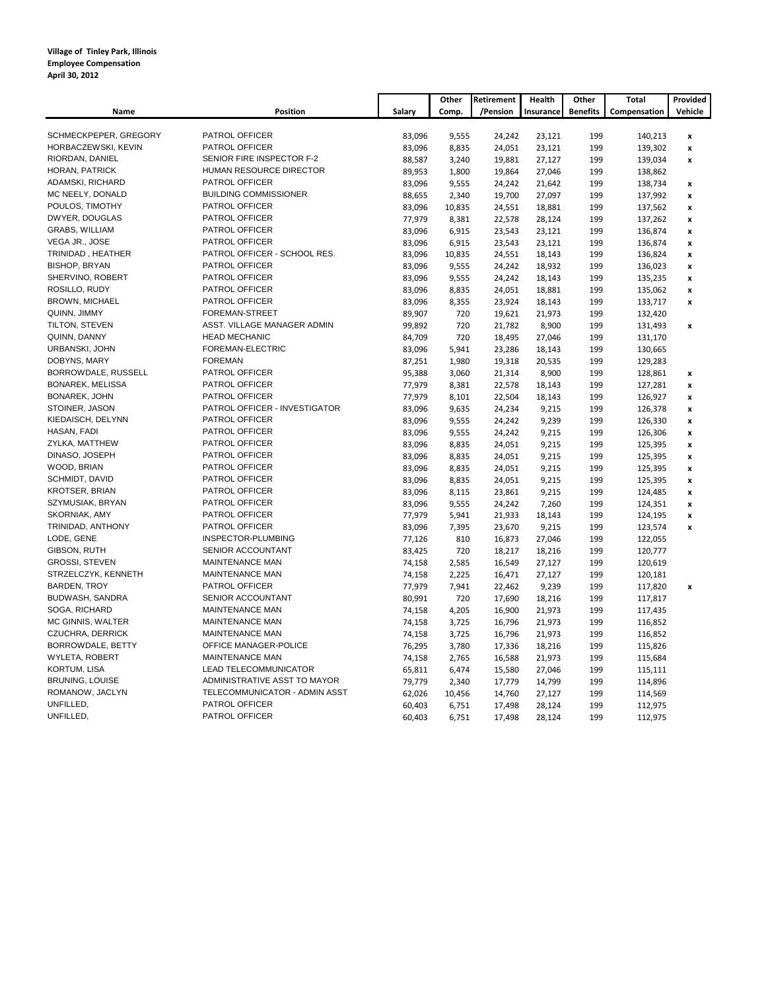|                                      |                                           |                  | Other          | Retirement       | Health          | Other           | <b>Total</b>       | Provided           |
|--------------------------------------|-------------------------------------------|------------------|----------------|------------------|-----------------|-----------------|--------------------|--------------------|
| Name                                 | Position                                  | Salary           | Comp.          | /Pension         | Insurance       | <b>Benefits</b> | Compensation       | Vehicle            |
|                                      |                                           |                  |                |                  |                 |                 |                    |                    |
| SCHMECKPEPER, GREGORY                | PATROL OFFICER                            | 83,096           | 9,555          | 24,242           | 23,121          | 199             | 140,213            | x                  |
| HORBACZEWSKI, KEVIN                  | PATROL OFFICER                            | 83,096           | 8,835          | 24,051           | 23,121          | 199             | 139,302            | x                  |
| RIORDAN, DANIEL                      | SENIOR FIRE INSPECTOR F-2                 | 88,587           | 3,240          | 19,881           | 27,127          | 199             | 139,034            | x                  |
| HORAN, PATRICK                       | HUMAN RESOURCE DIRECTOR<br>PATROL OFFICER | 89,953           | 1,800          | 19,864           | 27,046          | 199             | 138,862            |                    |
| ADAMSKI, RICHARD<br>MC NEELY, DONALD | <b>BUILDING COMMISSIONER</b>              | 83,096           | 9,555          | 24,242           | 21,642          | 199             | 138,734            | x                  |
| POULOS, TIMOTHY                      | PATROL OFFICER                            | 88,655           | 2,340          | 19,700           | 27,097          | 199             | 137,992            | x                  |
| DWYER, DOUGLAS                       | PATROL OFFICER                            | 83,096           | 10,835         | 24,551           | 18,881          | 199             | 137,562            | x                  |
| <b>GRABS, WILLIAM</b>                | PATROL OFFICER                            | 77,979           | 8,381          | 22,578           | 28,124          | 199             | 137,262            | x                  |
| VEGA JR., JOSE                       | PATROL OFFICER                            | 83,096           | 6,915          | 23,543           | 23,121          | 199             | 136,874            | x                  |
| TRINIDAD, HEATHER                    | PATROL OFFICER - SCHOOL RES.              | 83,096           | 6,915          | 23,543           | 23,121          | 199             | 136,874            | x                  |
| <b>BISHOP, BRYAN</b>                 | PATROL OFFICER                            | 83,096           | 10,835         | 24,551           | 18,143          | 199             | 136,824            | x                  |
| SHERVINO, ROBERT                     | PATROL OFFICER                            | 83,096           | 9,555          | 24,242           | 18,932          | 199             | 136,023            | x                  |
| ROSILLO, RUDY                        | PATROL OFFICER                            | 83,096           | 9,555          | 24,242           | 18,143          | 199<br>199      | 135,235            | x                  |
| <b>BROWN, MICHAEL</b>                | PATROL OFFICER                            | 83,096           | 8,835          | 24,051           | 18,881          |                 | 135,062            | x                  |
| QUINN, JIMMY                         | FOREMAN-STREET                            | 83,096           | 8,355          | 23,924           | 18,143          | 199             | 133,717            | $\pmb{\mathsf{x}}$ |
| TILTON, STEVEN                       | ASST. VILLAGE MANAGER ADMIN               | 89,907           | 720            | 19,621           | 21,973          | 199             | 132,420            |                    |
| QUINN, DANNY                         | <b>HEAD MECHANIC</b>                      | 99,892<br>84,709 | 720<br>720     | 21,782           | 8,900           | 199             | 131,493            | x                  |
| URBANSKI, JOHN                       | FOREMAN-ELECTRIC                          |                  | 5,941          | 18,495           | 27,046          | 199             | 131,170            |                    |
| DOBYNS, MARY                         | <b>FOREMAN</b>                            | 83,096           |                | 23,286           | 18,143          | 199<br>199      | 130,665            |                    |
| BORROWDALE, RUSSELL                  | PATROL OFFICER                            | 87,251<br>95,388 | 1,980<br>3,060 | 19,318<br>21,314 | 20,535<br>8,900 | 199             | 129,283            |                    |
| BONAREK, MELISSA                     | PATROL OFFICER                            |                  |                |                  |                 |                 | 128,861            | x                  |
| BONAREK, JOHN                        | PATROL OFFICER                            | 77,979           | 8,381          | 22,578           | 18,143          | 199             | 127,281            | $\pmb{\mathsf{x}}$ |
| STOINER, JASON                       | PATROL OFFICER - INVESTIGATOR             | 77,979           | 8,101<br>9,635 | 22,504           | 18,143<br>9,215 | 199<br>199      | 126,927<br>126,378 | x                  |
| KIEDAISCH, DELYNN                    | PATROL OFFICER                            | 83,096<br>83,096 | 9,555          | 24,234<br>24,242 | 9,239           | 199             | 126,330            | x<br>x             |
| HASAN, FADI                          | PATROL OFFICER                            | 83,096           | 9,555          |                  | 9,215           | 199             |                    |                    |
| ZYLKA, MATTHEW                       | PATROL OFFICER                            |                  |                | 24,242           |                 |                 | 126,306            | x                  |
| DINASO, JOSEPH                       | PATROL OFFICER                            | 83,096<br>83,096 | 8,835<br>8,835 | 24,051<br>24,051 | 9,215<br>9,215  | 199<br>199      | 125,395<br>125,395 | x                  |
| WOOD, BRIAN                          | PATROL OFFICER                            | 83,096           | 8,835          | 24,051           | 9,215           | 199             | 125,395            | x                  |
| SCHMIDT, DAVID                       | PATROL OFFICER                            | 83,096           | 8,835          | 24,051           | 9,215           | 199             | 125,395            | x<br>x             |
| <b>KROTSER, BRIAN</b>                | <b>PATROL OFFICER</b>                     | 83,096           | 8,115          | 23,861           | 9,215           | 199             | 124,485            | x                  |
| SZYMUSIAK, BRYAN                     | <b>PATROL OFFICER</b>                     | 83,096           | 9,555          | 24,242           | 7,260           | 199             | 124,351            | x                  |
| SKORNIAK, AMY                        | PATROL OFFICER                            | 77,979           | 5,941          | 21,933           | 18,143          | 199             | 124,195            | x                  |
| TRINIDAD, ANTHONY                    | PATROL OFFICER                            | 83,096           | 7,395          | 23,670           | 9,215           | 199             | 123,574            | x                  |
| LODE, GENE                           | INSPECTOR-PLUMBING                        | 77,126           | 810            | 16,873           | 27,046          | 199             | 122,055            |                    |
| GIBSON, RUTH                         | SENIOR ACCOUNTANT                         | 83,425           | 720            | 18,217           | 18,216          | 199             | 120,777            |                    |
| <b>GROSSI, STEVEN</b>                | MAINTENANCE MAN                           | 74,158           | 2,585          | 16,549           | 27,127          | 199             | 120,619            |                    |
| STRZELCZYK, KENNETH                  | MAINTENANCE MAN                           | 74,158           | 2,225          | 16,471           | 27,127          | 199             | 120,181            |                    |
| <b>BARDEN, TROY</b>                  | <b>PATROL OFFICER</b>                     | 77,979           | 7,941          | 22,462           | 9,239           | 199             | 117,820            | x                  |
| BUDWASH, SANDRA                      | SENIOR ACCOUNTANT                         | 80,991           | 720            | 17,690           | 18,216          | 199             | 117,817            |                    |
| SOGA, RICHARD                        | MAINTENANCE MAN                           | 74,158           | 4,205          | 16,900           | 21,973          | 199             | 117,435            |                    |
| MC GINNIS, WALTER                    | MAINTENANCE MAN                           | 74,158           | 3,725          | 16,796           | 21,973          | 199             | 116,852            |                    |
| CZUCHRA, DERRICK                     | MAINTENANCE MAN                           | 74,158           | 3,725          | 16,796           | 21,973          | 199             | 116,852            |                    |
| BORROWDALE, BETTY                    | OFFICE MANAGER-POLICE                     | 76,295           | 3,780          | 17,336           | 18,216          | 199             | 115,826            |                    |
| WYLETA, ROBERT                       | MAINTENANCE MAN                           | 74,158           | 2,765          | 16,588           | 21,973          | 199             | 115,684            |                    |
| <b>KORTUM, LISA</b>                  | LEAD TELECOMMUNICATOR                     | 65,811           | 6,474          | 15,580           | 27,046          | 199             | 115,111            |                    |
| <b>BRUNING, LOUISE</b>               | ADMINISTRATIVE ASST TO MAYOR              | 79,779           | 2,340          | 17,779           | 14,799          | 199             | 114,896            |                    |
| ROMANOW, JACLYN                      | TELECOMMUNICATOR - ADMIN ASST             | 62,026           | 10,456         | 14,760           | 27,127          | 199             | 114,569            |                    |
| UNFILLED,                            | PATROL OFFICER                            | 60,403           | 6,751          | 17,498           | 28,124          | 199             | 112,975            |                    |
| UNFILLED,                            | PATROL OFFICER                            | 60,403           | 6,751          | 17,498           | 28,124          | 199             | 112,975            |                    |
|                                      |                                           |                  |                |                  |                 |                 |                    |                    |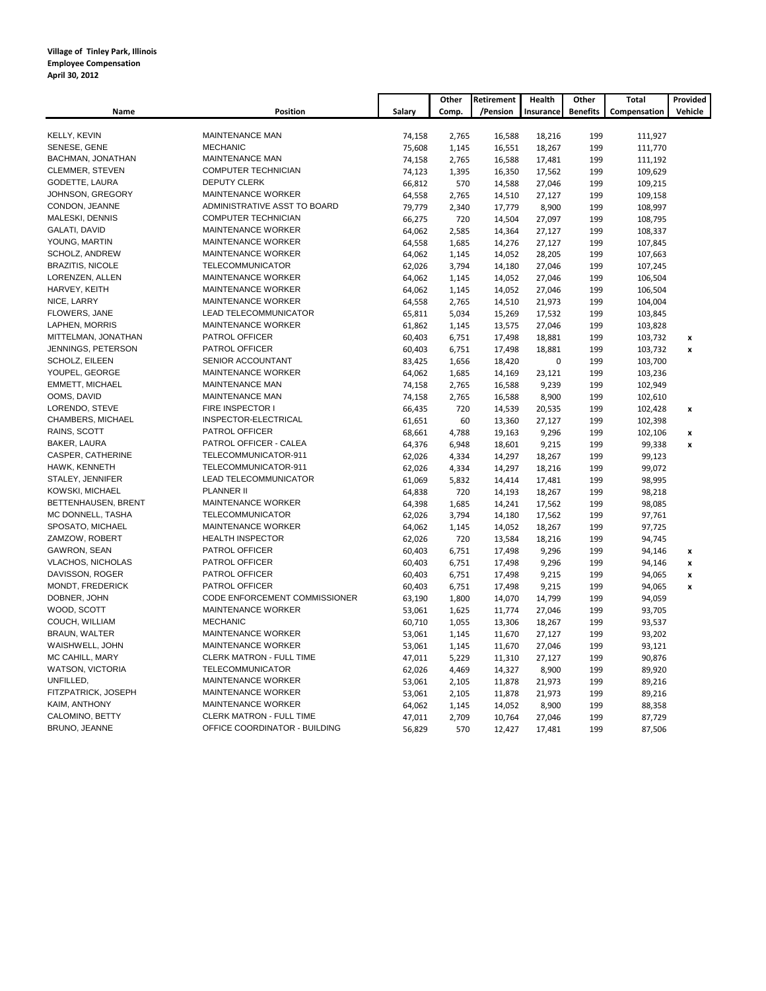|                          |                                 |        | Other | Retirement | Health    | Other           | Total        | Provided         |
|--------------------------|---------------------------------|--------|-------|------------|-----------|-----------------|--------------|------------------|
| Name                     | <b>Position</b>                 | Salary | Comp. | /Pension   | Insurance | <b>Benefits</b> | Compensation | Vehicle          |
|                          |                                 |        |       |            |           |                 |              |                  |
| KELLY, KEVIN             | <b>MAINTENANCE MAN</b>          | 74,158 | 2,765 | 16,588     | 18,216    | 199             | 111,927      |                  |
| SENESE, GENE             | <b>MECHANIC</b>                 | 75,608 | 1,145 | 16,551     | 18,267    | 199             | 111,770      |                  |
| BACHMAN, JONATHAN        | MAINTENANCE MAN                 | 74,158 | 2,765 | 16,588     | 17,481    | 199             | 111,192      |                  |
| CLEMMER, STEVEN          | <b>COMPUTER TECHNICIAN</b>      | 74,123 | 1,395 | 16,350     | 17,562    | 199             | 109,629      |                  |
| GODETTE, LAURA           | <b>DEPUTY CLERK</b>             | 66,812 | 570   | 14,588     | 27,046    | 199             | 109,215      |                  |
| JOHNSON, GREGORY         | MAINTENANCE WORKER              | 64,558 | 2,765 | 14,510     | 27,127    | 199             | 109,158      |                  |
| CONDON, JEANNE           | ADMINISTRATIVE ASST TO BOARD    | 79,779 | 2,340 | 17,779     | 8,900     | 199             | 108,997      |                  |
| MALESKI, DENNIS          | COMPUTER TECHNICIAN             | 66,275 | 720   | 14,504     | 27,097    | 199             | 108,795      |                  |
| GALATI, DAVID            | MAINTENANCE WORKER              | 64,062 | 2,585 | 14,364     | 27,127    | 199             | 108,337      |                  |
| YOUNG, MARTIN            | MAINTENANCE WORKER              | 64,558 | 1,685 | 14,276     | 27,127    | 199             | 107,845      |                  |
| SCHOLZ, ANDREW           | MAINTENANCE WORKER              | 64,062 | 1,145 | 14,052     | 28,205    | 199             | 107,663      |                  |
| <b>BRAZITIS, NICOLE</b>  | TELECOMMUNICATOR                | 62,026 | 3,794 | 14,180     | 27,046    | 199             | 107,245      |                  |
| LORENZEN, ALLEN          | MAINTENANCE WORKER              | 64,062 | 1,145 | 14,052     | 27,046    | 199             | 106,504      |                  |
| HARVEY, KEITH            | MAINTENANCE WORKER              | 64,062 | 1,145 | 14,052     | 27,046    | 199             | 106,504      |                  |
| NICE, LARRY              | MAINTENANCE WORKER              | 64,558 | 2,765 | 14,510     | 21,973    | 199             | 104,004      |                  |
| FLOWERS, JANE            | LEAD TELECOMMUNICATOR           | 65,811 | 5,034 | 15,269     | 17,532    | 199             | 103,845      |                  |
| LAPHEN, MORRIS           | <b>MAINTENANCE WORKER</b>       | 61,862 | 1,145 | 13,575     | 27,046    | 199             | 103,828      |                  |
| MITTELMAN, JONATHAN      | PATROL OFFICER                  | 60,403 | 6,751 | 17,498     | 18,881    | 199             | 103,732      | x                |
| JENNINGS, PETERSON       | PATROL OFFICER                  | 60,403 | 6,751 | 17,498     | 18,881    | 199             | 103,732      | x                |
| SCHOLZ, EILEEN           | SENIOR ACCOUNTANT               | 83,425 | 1,656 | 18,420     | 0         | 199             | 103,700      |                  |
| YOUPEL, GEORGE           | MAINTENANCE WORKER              | 64,062 | 1,685 | 14,169     | 23,121    | 199             | 103,236      |                  |
| EMMETT, MICHAEL          | MAINTENANCE MAN                 | 74,158 | 2,765 | 16,588     | 9,239     | 199             | 102,949      |                  |
| OOMS, DAVID              | <b>MAINTENANCE MAN</b>          | 74,158 | 2,765 | 16,588     | 8,900     | 199             | 102,610      |                  |
| LORENDO, STEVE           | FIRE INSPECTOR I                | 66,435 | 720   | 14,539     | 20,535    | 199             | 102,428      | x                |
| CHAMBERS, MICHAEL        | INSPECTOR-ELECTRICAL            | 61,651 | 60    | 13,360     | 27,127    | 199             | 102,398      |                  |
| RAINS, SCOTT             | PATROL OFFICER                  | 68,661 | 4,788 | 19,163     | 9,296     | 199             | 102,106      | x                |
| BAKER, LAURA             | PATROL OFFICER - CALEA          | 64,376 | 6,948 | 18,601     | 9,215     | 199             | 99,338       | x                |
| CASPER, CATHERINE        | TELECOMMUNICATOR-911            | 62,026 | 4,334 | 14,297     | 18,267    | 199             | 99,123       |                  |
| HAWK, KENNETH            | TELECOMMUNICATOR-911            | 62,026 | 4,334 | 14,297     | 18,216    | 199             | 99,072       |                  |
| STALEY, JENNIFER         | LEAD TELECOMMUNICATOR           | 61,069 | 5,832 | 14,414     | 17,481    | 199             | 98,995       |                  |
| KOWSKI, MICHAEL          | PLANNER II                      | 64,838 | 720   | 14,193     | 18,267    | 199             | 98,218       |                  |
| BETTENHAUSEN, BRENT      | MAINTENANCE WORKER              | 64,398 | 1,685 | 14,241     | 17,562    | 199             | 98,085       |                  |
| MC DONNELL, TASHA        | TELECOMMUNICATOR                | 62,026 | 3,794 | 14,180     | 17,562    | 199             | 97,761       |                  |
| SPOSATO, MICHAEL         | MAINTENANCE WORKER              | 64,062 | 1,145 | 14,052     | 18,267    | 199             | 97,725       |                  |
| ZAMZOW, ROBERT           | <b>HEALTH INSPECTOR</b>         | 62,026 | 720   | 13,584     | 18,216    | 199             | 94,745       |                  |
| GAWRON, SEAN             | PATROL OFFICER                  | 60,403 | 6,751 | 17,498     | 9,296     | 199             | 94,146       | x                |
| <b>VLACHOS, NICHOLAS</b> | PATROL OFFICER                  | 60,403 | 6,751 | 17,498     | 9,296     | 199             | 94,146       | x                |
| DAVISSON, ROGER          | PATROL OFFICER                  | 60,403 | 6,751 | 17,498     | 9,215     | 199             | 94,065       | x                |
| MONDT, FREDERICK         | PATROL OFFICER                  | 60,403 | 6,751 | 17,498     | 9,215     | 199             | 94,065       | $\boldsymbol{x}$ |
| DOBNER, JOHN             | CODE ENFORCEMENT COMMISSIONER   | 63,190 | 1,800 | 14,070     | 14,799    | 199             | 94,059       |                  |
| WOOD, SCOTT              | MAINTENANCE WORKER              | 53,061 | 1,625 | 11,774     | 27,046    | 199             | 93,705       |                  |
| COUCH, WILLIAM           | <b>MECHANIC</b>                 | 60,710 | 1,055 | 13,306     | 18,267    | 199             | 93,537       |                  |
| <b>BRAUN, WALTER</b>     | MAINTENANCE WORKER              | 53,061 | 1,145 | 11,670     | 27,127    | 199             | 93,202       |                  |
| WAISHWELL, JOHN          | MAINTENANCE WORKER              | 53,061 | 1,145 | 11,670     | 27,046    | 199             | 93,121       |                  |
| MC CAHILL, MARY          | CLERK MATRON - FULL TIME        | 47,011 | 5,229 | 11,310     | 27,127    | 199             | 90,876       |                  |
| WATSON, VICTORIA         | <b>TELECOMMUNICATOR</b>         | 62,026 | 4,469 | 14,327     | 8,900     | 199             | 89,920       |                  |
| UNFILLED,                | MAINTENANCE WORKER              | 53,061 | 2,105 | 11,878     | 21,973    | 199             | 89,216       |                  |
| FITZPATRICK, JOSEPH      | MAINTENANCE WORKER              | 53,061 | 2,105 | 11,878     | 21,973    | 199             | 89,216       |                  |
| KAIM, ANTHONY            | MAINTENANCE WORKER              | 64,062 | 1,145 | 14,052     | 8,900     | 199             | 88,358       |                  |
| CALOMINO, BETTY          | <b>CLERK MATRON - FULL TIME</b> | 47,011 | 2,709 | 10,764     | 27,046    | 199             | 87,729       |                  |
| BRUNO, JEANNE            | OFFICE COORDINATOR - BUILDING   | 56,829 | 570   | 12,427     | 17,481    | 199             | 87,506       |                  |
|                          |                                 |        |       |            |           |                 |              |                  |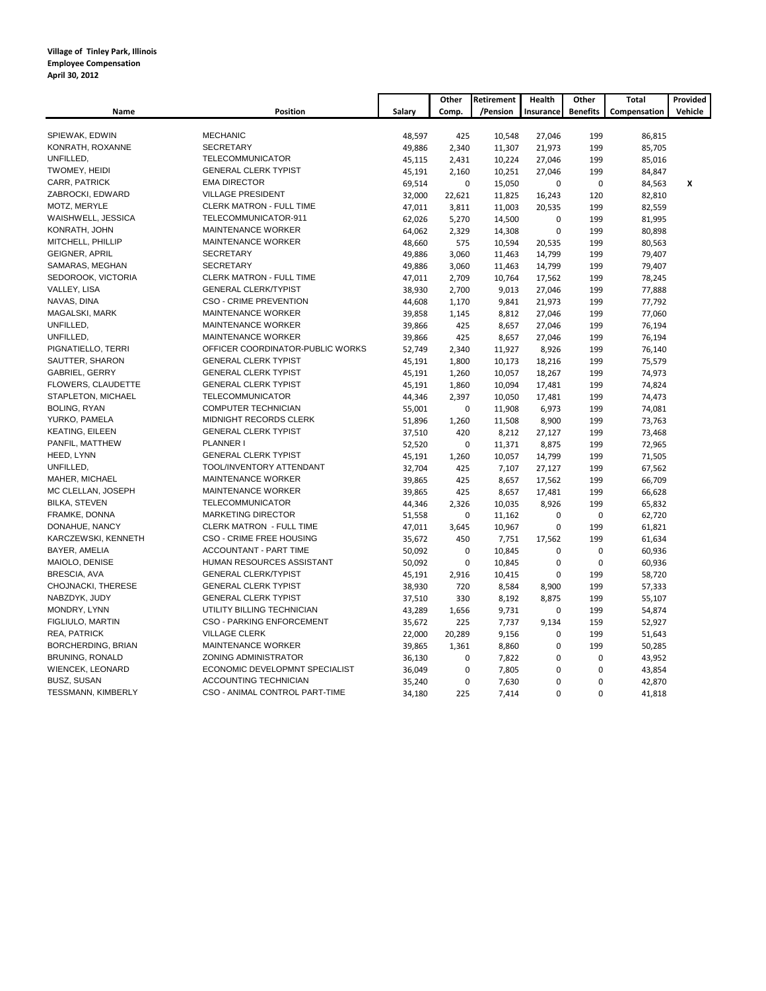|                         |                                  |        | Other        | Retirement | Health      | Other           | Total        | Provided |
|-------------------------|----------------------------------|--------|--------------|------------|-------------|-----------------|--------------|----------|
| Name                    | <b>Position</b>                  | Salary | Comp.        | /Pension   | Insurance   | <b>Benefits</b> | Compensation | Vehicle  |
|                         |                                  |        |              |            |             |                 |              |          |
| SPIEWAK, EDWIN          | <b>MECHANIC</b>                  | 48,597 | 425          | 10,548     | 27,046      | 199             | 86,815       |          |
| KONRATH, ROXANNE        | <b>SECRETARY</b>                 | 49,886 | 2,340        | 11,307     | 21,973      | 199             | 85,705       |          |
| UNFILLED,               | TELECOMMUNICATOR                 | 45,115 | 2,431        | 10,224     | 27,046      | 199             | 85,016       |          |
| TWOMEY, HEIDI           | <b>GENERAL CLERK TYPIST</b>      | 45,191 | 2,160        | 10,251     | 27,046      | 199             | 84,847       |          |
| CARR, PATRICK           | <b>EMA DIRECTOR</b>              | 69,514 | $\mathbf 0$  | 15,050     | $\mathbf 0$ | $\mathbf 0$     | 84,563       | X        |
| ZABROCKI, EDWARD        | <b>VILLAGE PRESIDENT</b>         | 32,000 | 22,621       | 11,825     | 16,243      | 120             | 82,810       |          |
| MOTZ, MERYLE            | <b>CLERK MATRON - FULL TIME</b>  | 47,011 | 3,811        | 11,003     | 20,535      | 199             | 82,559       |          |
| WAISHWELL, JESSICA      | TELECOMMUNICATOR-911             | 62,026 | 5,270        | 14,500     | $\mathbf 0$ | 199             | 81,995       |          |
| KONRATH, JOHN           | MAINTENANCE WORKER               | 64,062 | 2,329        | 14,308     | $\mathbf 0$ | 199             | 80,898       |          |
| MITCHELL, PHILLIP       | MAINTENANCE WORKER               | 48,660 | 575          | 10,594     | 20,535      | 199             | 80,563       |          |
| <b>GEIGNER, APRIL</b>   | <b>SECRETARY</b>                 | 49,886 | 3,060        | 11,463     | 14,799      | 199             | 79,407       |          |
| SAMARAS, MEGHAN         | <b>SECRETARY</b>                 | 49,886 | 3,060        | 11,463     | 14,799      | 199             | 79,407       |          |
| SEDOROOK, VICTORIA      | CLERK MATRON - FULL TIME         | 47,011 | 2,709        | 10,764     | 17,562      | 199             | 78,245       |          |
| VALLEY, LISA            | <b>GENERAL CLERK/TYPIST</b>      | 38,930 | 2,700        | 9,013      | 27,046      | 199             | 77,888       |          |
| NAVAS, DINA             | <b>CSO - CRIME PREVENTION</b>    | 44,608 | 1,170        | 9,841      | 21,973      | 199             | 77,792       |          |
| MAGALSKI, MARK          | MAINTENANCE WORKER               | 39,858 | 1,145        | 8,812      | 27,046      | 199             | 77,060       |          |
| UNFILLED,               | MAINTENANCE WORKER               | 39,866 | 425          | 8,657      | 27,046      | 199             | 76,194       |          |
| UNFILLED,               | MAINTENANCE WORKER               | 39,866 | 425          | 8,657      | 27,046      | 199             | 76,194       |          |
| PIGNATIELLO, TERRI      | OFFICER COORDINATOR-PUBLIC WORKS | 52,749 | 2,340        | 11,927     | 8,926       | 199             | 76,140       |          |
| SAUTTER, SHARON         | <b>GENERAL CLERK TYPIST</b>      | 45,191 | 1,800        | 10,173     | 18,216      | 199             | 75,579       |          |
| <b>GABRIEL, GERRY</b>   | <b>GENERAL CLERK TYPIST</b>      | 45,191 | 1,260        | 10,057     | 18,267      | 199             | 74,973       |          |
| FLOWERS, CLAUDETTE      | <b>GENERAL CLERK TYPIST</b>      | 45,191 | 1,860        | 10,094     | 17,481      | 199             | 74,824       |          |
| STAPLETON, MICHAEL      | TELECOMMUNICATOR                 | 44,346 | 2,397        | 10,050     | 17,481      | 199             | 74,473       |          |
| <b>BOLING, RYAN</b>     | COMPUTER TECHNICIAN              | 55,001 | $\mathbf 0$  | 11,908     | 6,973       | 199             | 74,081       |          |
| YURKO, PAMELA           | MIDNIGHT RECORDS CLERK           | 51,896 | 1,260        | 11,508     | 8,900       | 199             | 73,763       |          |
| KEATING, EILEEN         | <b>GENERAL CLERK TYPIST</b>      | 37,510 | 420          | 8,212      | 27,127      | 199             | 73,468       |          |
| PANFIL, MATTHEW         | PLANNER I                        | 52,520 | 0            | 11,371     | 8,875       | 199             | 72,965       |          |
| HEED, LYNN              | <b>GENERAL CLERK TYPIST</b>      | 45,191 | 1,260        | 10,057     | 14,799      | 199             | 71,505       |          |
| UNFILLED,               | TOOL/INVENTORY ATTENDANT         | 32,704 | 425          | 7,107      | 27,127      | 199             | 67,562       |          |
| MAHER, MICHAEL          | MAINTENANCE WORKER               | 39,865 | 425          | 8,657      | 17,562      | 199             | 66,709       |          |
| MC CLELLAN, JOSEPH      | MAINTENANCE WORKER               | 39,865 | 425          | 8,657      | 17,481      | 199             | 66,628       |          |
| <b>BILKA, STEVEN</b>    | <b>TELECOMMUNICATOR</b>          | 44,346 | 2,326        | 10,035     | 8,926       | 199             | 65,832       |          |
| FRAMKE, DONNA           | <b>MARKETING DIRECTOR</b>        | 51,558 | $\mathbf 0$  | 11,162     | $\mathbf 0$ | $\mathbf 0$     | 62,720       |          |
| DONAHUE, NANCY          | <b>CLERK MATRON - FULL TIME</b>  |        |              |            | 0           | 199             |              |          |
| KARCZEWSKI, KENNETH     | CSO - CRIME FREE HOUSING         | 47,011 | 3,645<br>450 | 10,967     |             | 199             | 61,821       |          |
| BAYER, AMELIA           | ACCOUNTANT - PART TIME           | 35,672 |              | 7,751      | 17,562      |                 | 61,634       |          |
|                         | HUMAN RESOURCES ASSISTANT        | 50,092 | $\mathbf 0$  | 10,845     | $\mathbf 0$ | $\mathbf 0$     | 60,936       |          |
| MAIOLO, DENISE          | <b>GENERAL CLERK/TYPIST</b>      | 50,092 | $\pmb{0}$    | 10,845     | $\mathbf 0$ | $\mathbf 0$     | 60,936       |          |
| BRESCIA, AVA            |                                  | 45,191 | 2,916        | 10,415     | $\mathbf 0$ | 199             | 58,720       |          |
| CHOJNACKI, THERESE      | <b>GENERAL CLERK TYPIST</b>      | 38,930 | 720          | 8,584      | 8,900       | 199             | 57,333       |          |
| NABZDYK, JUDY           | <b>GENERAL CLERK TYPIST</b>      | 37,510 | 330          | 8,192      | 8,875       | 199             | 55,107       |          |
| MONDRY, LYNN            | UTILITY BILLING TECHNICIAN       | 43,289 | 1,656        | 9,731      | $\mathbf 0$ | 199             | 54,874       |          |
| FIGLIULO, MARTIN        | <b>CSO - PARKING ENFORCEMENT</b> | 35,672 | 225          | 7,737      | 9,134       | 159             | 52,927       |          |
| REA, PATRICK            | <b>VILLAGE CLERK</b>             | 22,000 | 20,289       | 9,156      | $\mathbf 0$ | 199             | 51,643       |          |
| BORCHERDING, BRIAN      | MAINTENANCE WORKER               | 39,865 | 1,361        | 8,860      | $\mathbf 0$ | 199             | 50,285       |          |
| <b>BRUNING, RONALD</b>  | ZONING ADMINISTRATOR             | 36,130 | 0            | 7,822      | $\mathbf 0$ | $\mathbf 0$     | 43,952       |          |
| <b>WIENCEK, LEONARD</b> | ECONOMIC DEVELOPMNT SPECIALIST   | 36,049 | $\pmb{0}$    | 7,805      | $\mathbf 0$ | $\mathbf 0$     | 43,854       |          |
| <b>BUSZ, SUSAN</b>      | ACCOUNTING TECHNICIAN            | 35,240 | 0            | 7,630      | 0           | 0               | 42,870       |          |
| TESSMANN, KIMBERLY      | CSO - ANIMAL CONTROL PART-TIME   | 34,180 | 225          | 7,414      | $\Omega$    | 0               | 41,818       |          |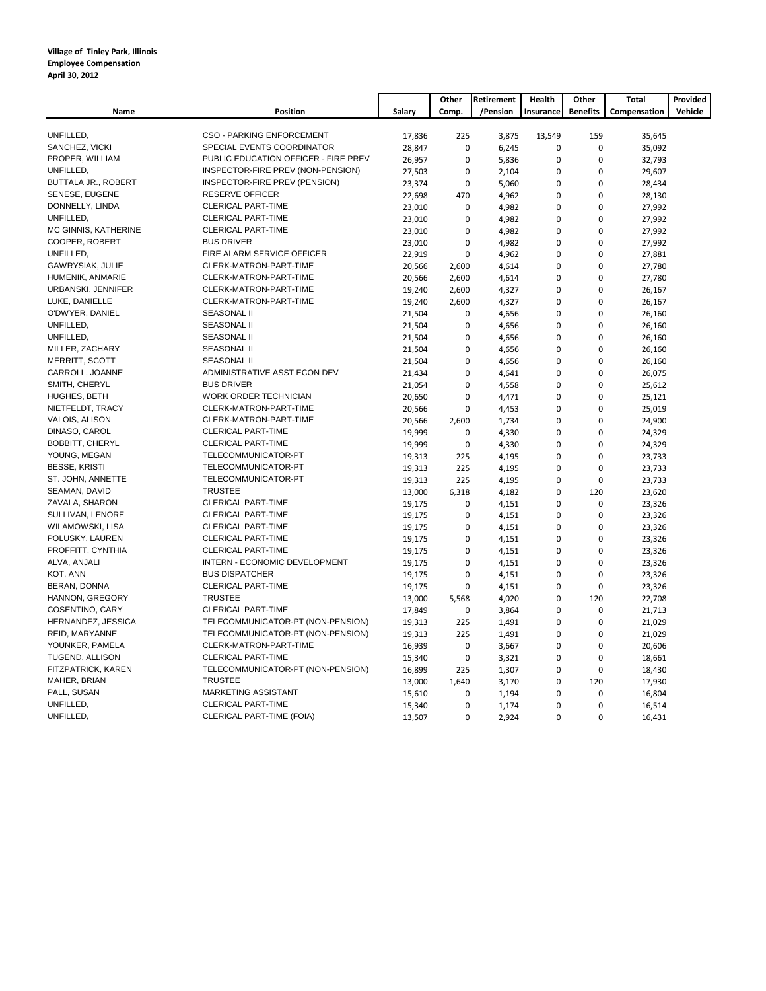|                        |                                      |        | Other       | Retirement | Health      | Other           | <b>Total</b> | Provided |
|------------------------|--------------------------------------|--------|-------------|------------|-------------|-----------------|--------------|----------|
| Name                   | <b>Position</b>                      | Salary | Comp.       | /Pension   | Insurance   | <b>Benefits</b> | Compensation | Vehicle  |
|                        |                                      |        |             |            |             |                 |              |          |
| UNFILLED,              | <b>CSO - PARKING ENFORCEMENT</b>     | 17,836 | 225         | 3,875      | 13,549      | 159             | 35,645       |          |
| SANCHEZ, VICKI         | SPECIAL EVENTS COORDINATOR           | 28,847 | $\pmb{0}$   | 6,245      | $\mathbf 0$ | $\pmb{0}$       | 35,092       |          |
| PROPER, WILLIAM        | PUBLIC EDUCATION OFFICER - FIRE PREV | 26,957 | $\pmb{0}$   | 5,836      | $\mathbf 0$ | $\pmb{0}$       | 32,793       |          |
| UNFILLED,              | INSPECTOR-FIRE PREV (NON-PENSION)    | 27,503 | 0           | 2,104      | $\mathbf 0$ | $\pmb{0}$       | 29,607       |          |
| BUTTALA JR., ROBERT    | INSPECTOR-FIRE PREV (PENSION)        | 23,374 | $\pmb{0}$   | 5,060      | $\mathbf 0$ | $\mathbf 0$     | 28,434       |          |
| SENESE, EUGENE         | <b>RESERVE OFFICER</b>               | 22,698 | 470         | 4,962      | $\mathbf 0$ | $\mathbf 0$     | 28,130       |          |
| DONNELLY, LINDA        | <b>CLERICAL PART-TIME</b>            | 23,010 | $\mathbf 0$ | 4,982      | $\mathbf 0$ | $\mathbf 0$     | 27,992       |          |
| UNFILLED,              | <b>CLERICAL PART-TIME</b>            | 23,010 | $\pmb{0}$   | 4,982      | $\mathbf 0$ | $\pmb{0}$       | 27,992       |          |
| MC GINNIS, KATHERINE   | <b>CLERICAL PART-TIME</b>            | 23,010 | $\pmb{0}$   | 4,982      | $\mathbf 0$ | $\pmb{0}$       | 27,992       |          |
| COOPER, ROBERT         | <b>BUS DRIVER</b>                    | 23,010 | $\mathbf 0$ | 4,982      | $\mathbf 0$ | $\mathbf 0$     | 27,992       |          |
| UNFILLED,              | FIRE ALARM SERVICE OFFICER           | 22,919 | $\pmb{0}$   | 4,962      | $\mathbf 0$ | $\pmb{0}$       | 27,881       |          |
| GAWRYSIAK, JULIE       | CLERK-MATRON-PART-TIME               | 20,566 | 2,600       | 4,614      | $\mathbf 0$ | $\pmb{0}$       | 27,780       |          |
| HUMENIK, ANMARIE       | CLERK-MATRON-PART-TIME               | 20,566 | 2,600       | 4,614      | $\mathbf 0$ | $\mathbf 0$     | 27,780       |          |
| URBANSKI, JENNIFER     | CLERK-MATRON-PART-TIME               | 19,240 | 2,600       | 4,327      | $\mathbf 0$ | $\mathbf 0$     | 26,167       |          |
| LUKE, DANIELLE         | CLERK-MATRON-PART-TIME               | 19,240 | 2,600       | 4,327      | $\mathbf 0$ | $\mathbf 0$     | 26,167       |          |
| O'DWYER, DANIEL        | <b>SEASONAL II</b>                   | 21,504 | $\pmb{0}$   | 4,656      | $\mathbf 0$ | $\pmb{0}$       | 26,160       |          |
| UNFILLED,              | <b>SEASONAL II</b>                   | 21,504 | $\pmb{0}$   | 4,656      | $\mathbf 0$ | $\pmb{0}$       | 26,160       |          |
| UNFILLED,              | <b>SEASONAL II</b>                   | 21,504 | 0           | 4,656      | $\mathbf 0$ | $\pmb{0}$       | 26,160       |          |
| MILLER, ZACHARY        | <b>SEASONAL II</b>                   | 21,504 | $\mathbf 0$ | 4,656      | $\mathbf 0$ | $\mathbf 0$     | 26,160       |          |
| MERRITT, SCOTT         | <b>SEASONAL II</b>                   | 21,504 | $\mathbf 0$ | 4,656      | $\Omega$    | $\mathbf 0$     | 26,160       |          |
| CARROLL, JOANNE        | ADMINISTRATIVE ASST ECON DEV         | 21,434 | $\mathbf 0$ | 4,641      | $\mathbf 0$ | $\pmb{0}$       | 26,075       |          |
| SMITH, CHERYL          | <b>BUS DRIVER</b>                    | 21,054 | $\pmb{0}$   | 4,558      | $\mathbf 0$ | $\pmb{0}$       | 25,612       |          |
| HUGHES, BETH           | WORK ORDER TECHNICIAN                | 20,650 | $\mathbf 0$ | 4,471      | $\mathbf 0$ | $\mathbf 0$     | 25,121       |          |
| NIETFELDT, TRACY       | CLERK-MATRON-PART-TIME               | 20,566 | 0           | 4,453      | $\mathbf 0$ | $\pmb{0}$       | 25,019       |          |
| <b>VALOIS, ALISON</b>  | CLERK-MATRON-PART-TIME               | 20,566 | 2,600       | 1,734      | $\Omega$    | $\mathbf 0$     | 24,900       |          |
| DINASO, CAROL          | <b>CLERICAL PART-TIME</b>            | 19,999 | $\mathbf 0$ | 4,330      | $\mathbf 0$ | $\mathbf 0$     | 24,329       |          |
| <b>BOBBITT, CHERYL</b> | <b>CLERICAL PART-TIME</b>            | 19,999 | $\pmb{0}$   | 4,330      | $\mathbf 0$ | $\pmb{0}$       | 24,329       |          |
| YOUNG, MEGAN           | TELECOMMUNICATOR-PT                  | 19,313 | 225         | 4,195      | $\mathbf 0$ | $\mathbf 0$     | 23,733       |          |
| <b>BESSE, KRISTI</b>   | TELECOMMUNICATOR-PT                  | 19,313 | 225         | 4,195      | $\mathbf 0$ | $\pmb{0}$       | 23,733       |          |
| ST. JOHN, ANNETTE      | TELECOMMUNICATOR-PT                  | 19,313 | 225         | 4,195      | $\mathbf 0$ | $\mathbf 0$     | 23,733       |          |
| SEAMAN, DAVID          | <b>TRUSTEE</b>                       | 13,000 | 6,318       | 4,182      | $\mathbf 0$ | 120             | 23,620       |          |
| ZAVALA, SHARON         | <b>CLERICAL PART-TIME</b>            | 19,175 | 0           | 4,151      | $\mathbf 0$ | 0               | 23,326       |          |
| SULLIVAN, LENORE       | <b>CLERICAL PART-TIME</b>            | 19,175 | $\mathbf 0$ | 4,151      | $\mathbf 0$ | $\mathbf 0$     | 23,326       |          |
| WILAMOWSKI, LISA       | <b>CLERICAL PART-TIME</b>            | 19,175 | $\pmb{0}$   | 4,151      | $\mathbf 0$ | $\pmb{0}$       | 23,326       |          |
| POLUSKY, LAUREN        | <b>CLERICAL PART-TIME</b>            | 19,175 | $\mathbf 0$ | 4,151      | $\mathbf 0$ | $\mathbf 0$     | 23,326       |          |
| PROFFITT, CYNTHIA      | <b>CLERICAL PART-TIME</b>            | 19,175 | $\mathbf 0$ | 4,151      | $\mathbf 0$ | $\mathbf 0$     | 23,326       |          |
| ALVA, ANJALI           | INTERN - ECONOMIC DEVELOPMENT        | 19,175 | $\pmb{0}$   | 4,151      | $\mathbf 0$ | $\pmb{0}$       | 23,326       |          |
| KOT, ANN               | <b>BUS DISPATCHER</b>                | 19,175 | $\mathbf 0$ | 4,151      | $\mathbf 0$ | $\mathbf 0$     | 23,326       |          |
| BERAN, DONNA           | <b>CLERICAL PART-TIME</b>            | 19,175 | $\mathbf 0$ | 4,151      | $\mathbf 0$ | $\mathbf 0$     | 23,326       |          |
| HANNON, GREGORY        | <b>TRUSTEE</b>                       | 13,000 | 5,568       | 4,020      | $\mathbf 0$ | 120             | 22,708       |          |
| COSENTINO, CARY        | CLERICAL PART-TIME                   | 17,849 | $\mathbf 0$ | 3,864      | $\mathbf 0$ | $\mathbf 0$     | 21,713       |          |
| HERNANDEZ, JESSICA     | TELECOMMUNICATOR-PT (NON-PENSION)    | 19,313 | 225         | 1,491      | $\mathbf 0$ | $\pmb{0}$       | 21,029       |          |
| REID, MARYANNE         | TELECOMMUNICATOR-PT (NON-PENSION)    | 19,313 | 225         | 1,491      | $\mathbf 0$ | $\pmb{0}$       | 21,029       |          |
| YOUNKER, PAMELA        | CLERK-MATRON-PART-TIME               | 16,939 | 0           | 3,667      | $\mathbf 0$ | $\pmb{0}$       | 20,606       |          |
| TUGEND, ALLISON        | <b>CLERICAL PART-TIME</b>            | 15,340 | 0           | 3,321      | $\mathbf 0$ | $\mathbf 0$     | 18,661       |          |
| FITZPATRICK, KAREN     | TELECOMMUNICATOR-PT (NON-PENSION)    | 16,899 | 225         | 1,307      | $\mathbf 0$ | $\mathbf 0$     | 18,430       |          |
| MAHER, BRIAN           | <b>TRUSTEE</b>                       | 13,000 | 1,640       | 3,170      | $\mathbf 0$ | 120             | 17,930       |          |
| PALL, SUSAN            | MARKETING ASSISTANT                  | 15,610 | 0           | 1,194      | $\mathbf 0$ | $\pmb{0}$       | 16,804       |          |
| UNFILLED,              | <b>CLERICAL PART-TIME</b>            | 15,340 | 0           | 1,174      | $\mathbf 0$ | 0               | 16,514       |          |
| UNFILLED,              | CLERICAL PART-TIME (FOIA)            | 13,507 | $\pmb{0}$   | 2,924      | $\Omega$    | $\pmb{0}$       | 16,431       |          |
|                        |                                      |        |             |            |             |                 |              |          |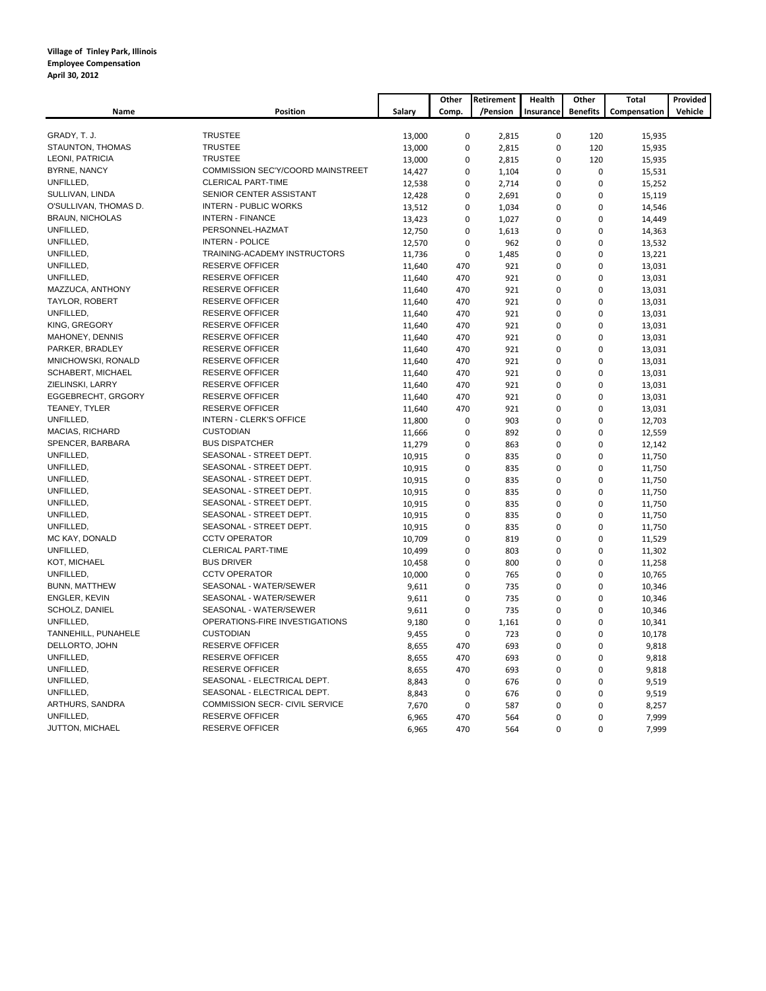|                        |                                          |        | Other        | Retirement | Health      | Other           | <b>Total</b> | Provided |
|------------------------|------------------------------------------|--------|--------------|------------|-------------|-----------------|--------------|----------|
| Name                   | <b>Position</b>                          | Salary | Comp.        | /Pension   | Insurance   | <b>Benefits</b> | Compensation | Vehicle  |
|                        |                                          |        |              |            |             |                 |              |          |
| GRADY, T. J.           | <b>TRUSTEE</b>                           | 13,000 | $\pmb{0}$    | 2,815      | $\mathbf 0$ | 120             | 15,935       |          |
| STAUNTON, THOMAS       | <b>TRUSTEE</b>                           | 13,000 | $\pmb{0}$    | 2,815      | $\mathbf 0$ | 120             | 15,935       |          |
| LEONI, PATRICIA        | <b>TRUSTEE</b>                           | 13,000 | $\mathbf 0$  | 2,815      | $\mathbf 0$ | 120             | 15,935       |          |
| <b>BYRNE, NANCY</b>    | <b>COMMISSION SEC'Y/COORD MAINSTREET</b> | 14,427 | 0            | 1,104      | $\mathbf 0$ | 0               | 15,531       |          |
| UNFILLED,              | <b>CLERICAL PART-TIME</b>                | 12,538 | $\mathbf 0$  | 2,714      | $\mathbf 0$ | $\mathbf 0$     | 15,252       |          |
| SULLIVAN, LINDA        | SENIOR CENTER ASSISTANT                  | 12,428 | $\mathbf 0$  | 2,691      | $\mathbf 0$ | $\pmb{0}$       | 15,119       |          |
| O'SULLIVAN, THOMAS D.  | <b>INTERN - PUBLIC WORKS</b>             | 13,512 | $\mathbf 0$  | 1,034      | $\mathbf 0$ | $\mathbf 0$     | 14,546       |          |
| <b>BRAUN, NICHOLAS</b> | <b>INTERN - FINANCE</b>                  | 13,423 | 0            | 1,027      | $\Omega$    | 0               | 14,449       |          |
| UNFILLED,              | PERSONNEL-HAZMAT                         | 12,750 | $\mathbf 0$  | 1,613      | $\mathbf 0$ | $\mathbf 0$     | 14,363       |          |
| UNFILLED,              | <b>INTERN - POLICE</b>                   | 12,570 | $\pmb{0}$    | 962        | $\mathbf 0$ | $\pmb{0}$       | 13,532       |          |
| UNFILLED,              | TRAINING-ACADEMY INSTRUCTORS             | 11,736 | $\mathbf 0$  | 1,485      | $\mathbf 0$ | $\mathbf 0$     | 13,221       |          |
| UNFILLED,              | <b>RESERVE OFFICER</b>                   | 11,640 | 470          | 921        | $\mathbf 0$ | $\mathbf 0$     | 13,031       |          |
| UNFILLED,              | <b>RESERVE OFFICER</b>                   | 11,640 | 470          | 921        | $\mathbf 0$ | $\mathbf 0$     | 13,031       |          |
| MAZZUCA, ANTHONY       | <b>RESERVE OFFICER</b>                   | 11,640 | 470          | 921        | $\mathbf 0$ | $\pmb{0}$       | 13,031       |          |
| TAYLOR, ROBERT         | <b>RESERVE OFFICER</b>                   | 11,640 | 470          | 921        | $\mathbf 0$ | $\mathbf 0$     | 13,031       |          |
| UNFILLED,              | <b>RESERVE OFFICER</b>                   | 11,640 | 470          | 921        | $\mathbf 0$ | $\mathbf 0$     | 13,031       |          |
| KING, GREGORY          | <b>RESERVE OFFICER</b>                   | 11,640 | 470          | 921        | $\Omega$    | 0               | 13,031       |          |
| MAHONEY, DENNIS        | <b>RESERVE OFFICER</b>                   | 11,640 | 470          | 921        | $\mathbf 0$ | $\pmb{0}$       | 13,031       |          |
| PARKER, BRADLEY        | <b>RESERVE OFFICER</b>                   | 11,640 | 470          | 921        | $\mathbf 0$ | $\mathbf 0$     | 13,031       |          |
| MNICHOWSKI, RONALD     | <b>RESERVE OFFICER</b>                   | 11,640 | 470          | 921        | $\mathbf 0$ | $\pmb{0}$       | 13,031       |          |
| SCHABERT, MICHAEL      | <b>RESERVE OFFICER</b>                   | 11,640 | 470          | 921        | $\Omega$    | $\mathbf 0$     | 13,031       |          |
| ZIELINSKI, LARRY       | <b>RESERVE OFFICER</b>                   | 11,640 | 470          | 921        | $\mathbf 0$ | $\pmb{0}$       | 13,031       |          |
| EGGEBRECHT, GRGORY     | <b>RESERVE OFFICER</b>                   | 11,640 | 470          | 921        | $\mathbf 0$ | $\pmb{0}$       | 13,031       |          |
| TEANEY, TYLER          | <b>RESERVE OFFICER</b>                   | 11,640 | 470          | 921        | $\mathbf 0$ | $\mathbf 0$     | 13,031       |          |
| UNFILLED,              | <b>INTERN - CLERK'S OFFICE</b>           | 11,800 | $\mathbf 0$  | 903        | $\Omega$    | $\mathbf 0$     | 12,703       |          |
| <b>MACIAS, RICHARD</b> | <b>CUSTODIAN</b>                         | 11,666 | $\pmb{0}$    | 892        | $\mathbf 0$ | $\pmb{0}$       | 12,559       |          |
| SPENCER, BARBARA       | <b>BUS DISPATCHER</b>                    | 11,279 | 0            | 863        | $\mathbf 0$ | $\pmb{0}$       | 12,142       |          |
| UNFILLED,              | SEASONAL - STREET DEPT.                  | 10,915 | $\pmb{0}$    | 835        | $\mathbf 0$ | $\pmb{0}$       | 11,750       |          |
| UNFILLED,              | SEASONAL - STREET DEPT.                  | 10,915 | $\mathbf 0$  | 835        | $\mathbf 0$ | $\mathbf 0$     | 11,750       |          |
| UNFILLED,              | SEASONAL - STREET DEPT.                  | 10,915 | $\mathbf 0$  | 835        | $\mathbf 0$ | $\mathbf 0$     | 11,750       |          |
| UNFILLED,              | SEASONAL - STREET DEPT.                  | 10,915 | 0            | 835        | $\mathbf 0$ | 0               | 11,750       |          |
| UNFILLED,              | SEASONAL - STREET DEPT.                  | 10,915 | $\pmb{0}$    | 835        | $\mathbf 0$ | $\pmb{0}$       | 11,750       |          |
| UNFILLED,              | SEASONAL - STREET DEPT.                  | 10,915 | $\mathbf 0$  | 835        | $\mathbf 0$ | $\mathbf 0$     | 11,750       |          |
| UNFILLED,              | SEASONAL - STREET DEPT.                  | 10,915 | $\mathbf 0$  | 835        | $\mathbf 0$ | $\mathbf 0$     | 11,750       |          |
| MC KAY, DONALD         | <b>CCTV OPERATOR</b>                     | 10,709 | $\mathbf 0$  | 819        | $\mathbf 0$ | $\mathbf 0$     | 11,529       |          |
| UNFILLED,              | <b>CLERICAL PART-TIME</b>                | 10,499 | 0            | 803        | $\mathbf 0$ | 0               | 11,302       |          |
| KOT, MICHAEL           | <b>BUS DRIVER</b>                        | 10,458 | $\mathbf 0$  | 800        | $\mathbf 0$ | $\mathbf 0$     | 11,258       |          |
| UNFILLED,              | <b>CCTV OPERATOR</b>                     | 10,000 | $\mathbf 0$  | 765        | $\mathbf 0$ | $\mathbf 0$     | 10,765       |          |
| <b>BUNN, MATTHEW</b>   | SEASONAL - WATER/SEWER                   | 9,611  | $\mathbf{0}$ | 735        | $\mathbf 0$ | $\mathbf 0$     | 10,346       |          |
| ENGLER, KEVIN          | SEASONAL - WATER/SEWER                   | 9,611  | 0            | 735        | $\Omega$    | 0               | 10,346       |          |
| SCHOLZ, DANIEL         | SEASONAL - WATER/SEWER                   | 9,611  | $\pmb{0}$    | 735        | $\mathbf 0$ | $\pmb{0}$       | 10,346       |          |
| UNFILLED,              | OPERATIONS-FIRE INVESTIGATIONS           | 9,180  | $\mathbf 0$  | 1,161      | $\mathbf 0$ | $\mathbf 0$     | 10,341       |          |
| TANNEHILL, PUNAHELE    | <b>CUSTODIAN</b>                         | 9,455  | $\mathbf 0$  | 723        | $\mathbf 0$ | $\mathbf 0$     | 10,178       |          |
| DELLORTO, JOHN         | <b>RESERVE OFFICER</b>                   | 8,655  | 470          | 693        | $\mathbf 0$ | $\mathbf 0$     | 9,818        |          |
| UNFILLED,              | <b>RESERVE OFFICER</b>                   | 8,655  | 470          | 693        | $\mathbf 0$ | $\pmb{0}$       | 9,818        |          |
| UNFILLED,              | <b>RESERVE OFFICER</b>                   | 8,655  | 470          | 693        | $\mathbf 0$ | $\mathbf 0$     | 9,818        |          |
| UNFILLED,              | SEASONAL - ELECTRICAL DEPT.              | 8,843  | $\mathbf 0$  | 676        | $\mathbf 0$ | $\pmb{0}$       | 9,519        |          |
| UNFILLED,              | SEASONAL - ELECTRICAL DEPT.              | 8,843  | $\mathbf 0$  | 676        | $\mathbf 0$ | $\mathbf 0$     | 9,519        |          |
| ARTHURS, SANDRA        | COMMISSION SECR- CIVIL SERVICE           | 7,670  | $\mathbf 0$  | 587        | $\mathbf 0$ | $\mathbf 0$     | 8,257        |          |
| UNFILLED,              | <b>RESERVE OFFICER</b>                   | 6,965  | 470          | 564        | $\mathbf 0$ | $\mathbf 0$     | 7,999        |          |
| JUTTON, MICHAEL        | <b>RESERVE OFFICER</b>                   | 6,965  | 470          | 564        | $\mathbf 0$ | $\mathbf 0$     | 7,999        |          |
|                        |                                          |        |              |            |             |                 |              |          |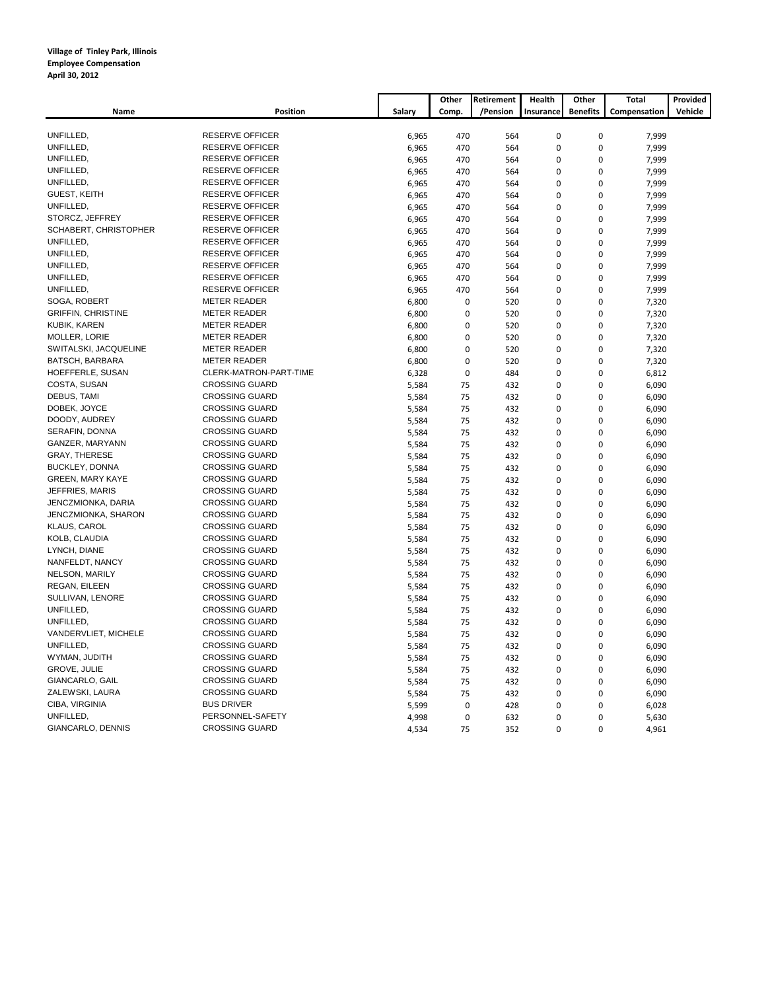|                           |                        |        | Other       | Retirement | Health      | Other           | Total        | Provided |
|---------------------------|------------------------|--------|-------------|------------|-------------|-----------------|--------------|----------|
| Name                      | <b>Position</b>        | Salary | Comp.       | /Pension   | Insurance   | <b>Benefits</b> | Compensation | Vehicle  |
|                           |                        |        |             |            |             |                 |              |          |
| UNFILLED,                 | <b>RESERVE OFFICER</b> | 6,965  | 470         | 564        | $\mathbf 0$ | $\pmb{0}$       | 7,999        |          |
| UNFILLED,                 | <b>RESERVE OFFICER</b> | 6,965  | 470         | 564        | $\mathbf 0$ | $\pmb{0}$       | 7,999        |          |
| UNFILLED,                 | <b>RESERVE OFFICER</b> | 6,965  | 470         | 564        | $\mathbf 0$ | $\mathbf 0$     | 7,999        |          |
| UNFILLED,                 | <b>RESERVE OFFICER</b> | 6,965  | 470         | 564        | $\mathbf 0$ | $\mathbf 0$     | 7,999        |          |
| UNFILLED,                 | <b>RESERVE OFFICER</b> | 6,965  | 470         | 564        | $\mathbf 0$ | $\pmb{0}$       | 7,999        |          |
| <b>GUEST, KEITH</b>       | <b>RESERVE OFFICER</b> | 6,965  | 470         | 564        | $\mathbf 0$ | $\mathbf 0$     | 7,999        |          |
| UNFILLED,                 | <b>RESERVE OFFICER</b> | 6,965  | 470         | 564        | $\mathbf 0$ | $\pmb{0}$       | 7,999        |          |
| STORCZ, JEFFREY           | <b>RESERVE OFFICER</b> | 6,965  | 470         | 564        | $\mathbf 0$ | $\mathbf 0$     | 7,999        |          |
| SCHABERT, CHRISTOPHER     | <b>RESERVE OFFICER</b> | 6,965  | 470         | 564        | $\mathbf 0$ | $\pmb{0}$       | 7,999        |          |
| UNFILLED,                 | <b>RESERVE OFFICER</b> | 6,965  | 470         | 564        | $\mathbf 0$ | 0               | 7,999        |          |
| UNFILLED,                 | <b>RESERVE OFFICER</b> | 6,965  | 470         | 564        | $\mathbf 0$ | $\pmb{0}$       | 7,999        |          |
| UNFILLED.                 | <b>RESERVE OFFICER</b> | 6,965  | 470         | 564        | $\mathbf 0$ | $\mathbf 0$     | 7,999        |          |
| UNFILLED,                 | <b>RESERVE OFFICER</b> | 6,965  | 470         | 564        | $\mathbf 0$ | 0               | 7,999        |          |
| UNFILLED.                 | <b>RESERVE OFFICER</b> | 6,965  | 470         | 564        | $\mathbf 0$ | 0               | 7,999        |          |
| SOGA, ROBERT              | <b>METER READER</b>    | 6,800  | 0           | 520        | $\mathbf 0$ | 0               | 7,320        |          |
| <b>GRIFFIN, CHRISTINE</b> | <b>METER READER</b>    | 6,800  | $\mathbf 0$ | 520        | $\mathbf 0$ | $\mathbf 0$     | 7,320        |          |
| KUBIK, KAREN              | <b>METER READER</b>    | 6,800  | $\mathbf 0$ | 520        | $\mathbf 0$ | $\mathbf 0$     | 7,320        |          |
| MOLLER, LORIE             | <b>METER READER</b>    | 6,800  | $\mathbf 0$ | 520        | $\mathbf 0$ | $\mathbf 0$     | 7,320        |          |
| SWITALSKI, JACQUELINE     | <b>METER READER</b>    | 6,800  | $\pmb{0}$   | 520        | $\mathbf 0$ | $\pmb{0}$       | 7,320        |          |
| BATSCH, BARBARA           | <b>METER READER</b>    | 6,800  | $\mathbf 0$ | 520        | $\mathbf 0$ | $\mathbf 0$     | 7,320        |          |
| HOEFFERLE, SUSAN          | CLERK-MATRON-PART-TIME | 6,328  | $\mathbf 0$ | 484        | $\mathbf 0$ | $\pmb{0}$       | 6,812        |          |
| COSTA, SUSAN              | <b>CROSSING GUARD</b>  | 5,584  | 75          | 432        | $\mathbf 0$ | $\mathbf 0$     | 6,090        |          |
| DEBUS, TAMI               | <b>CROSSING GUARD</b>  | 5,584  | 75          | 432        | $\mathbf 0$ | 0               | 6,090        |          |
| DOBEK, JOYCE              | <b>CROSSING GUARD</b>  | 5,584  | 75          | 432        | $\mathbf 0$ | 0               | 6,090        |          |
| DOODY, AUDREY             | <b>CROSSING GUARD</b>  | 5,584  | 75          | 432        | $\mathbf 0$ | $\pmb{0}$       | 6,090        |          |
| SERAFIN, DONNA            | <b>CROSSING GUARD</b>  | 5,584  | 75          | 432        | $\mathbf 0$ | $\pmb{0}$       | 6,090        |          |
| GANZER, MARYANN           | <b>CROSSING GUARD</b>  | 5,584  | 75          | 432        | $\mathbf 0$ | $\mathbf 0$     | 6,090        |          |
| <b>GRAY, THERESE</b>      | <b>CROSSING GUARD</b>  | 5,584  | 75          | 432        | $\mathbf 0$ | 0               | 6,090        |          |
| <b>BUCKLEY, DONNA</b>     | <b>CROSSING GUARD</b>  | 5,584  | 75          | 432        | $\mathbf 0$ | $\mathbf 0$     | 6,090        |          |
| GREEN, MARY KAYE          | <b>CROSSING GUARD</b>  | 5,584  | 75          | 432        | $\mathbf 0$ | $\pmb{0}$       | 6,090        |          |
| JEFFRIES, MARIS           | <b>CROSSING GUARD</b>  | 5,584  | 75          | 432        | $\mathbf 0$ | $\mathbf 0$     | 6,090        |          |
| JENCZMIONKA, DARIA        | <b>CROSSING GUARD</b>  | 5,584  | 75          | 432        | $\Omega$    | 0               | 6,090        |          |
| JENCZMIONKA, SHARON       | <b>CROSSING GUARD</b>  | 5,584  | 75          | 432        | $\mathbf 0$ | $\mathbf 0$     | 6,090        |          |
| KLAUS, CAROL              | <b>CROSSING GUARD</b>  | 5,584  | 75          | 432        | $\mathbf 0$ | $\pmb{0}$       | 6,090        |          |
| KOLB, CLAUDIA             | <b>CROSSING GUARD</b>  | 5,584  | 75          | 432        | $\mathbf 0$ | $\mathbf 0$     | 6,090        |          |
| LYNCH, DIANE              | <b>CROSSING GUARD</b>  | 5,584  | 75          | 432        | $\mathbf 0$ | $\mathbf 0$     | 6,090        |          |
| NANFELDT, NANCY           | <b>CROSSING GUARD</b>  | 5,584  | 75          | 432        | $\mathbf 0$ | $\mathbf 0$     | 6,090        |          |
| NELSON, MARILY            | <b>CROSSING GUARD</b>  | 5,584  | 75          | 432        | $\mathbf 0$ | $\pmb{0}$       | 6,090        |          |
| REGAN, EILEEN             | <b>CROSSING GUARD</b>  | 5,584  | 75          | 432        | $\mathbf 0$ | $\pmb{0}$       | 6,090        |          |
| SULLIVAN, LENORE          | <b>CROSSING GUARD</b>  | 5,584  | 75          | 432        | $\mathbf 0$ | $\mathbf 0$     | 6,090        |          |
| UNFILLED,                 | <b>CROSSING GUARD</b>  | 5,584  | 75          | 432        | $\Omega$    | $\mathbf 0$     | 6,090        |          |
| UNFILLED,                 | <b>CROSSING GUARD</b>  | 5,584  | 75          | 432        | $\mathbf 0$ | $\pmb{0}$       | 6,090        |          |
| VANDERVLIET, MICHELE      | <b>CROSSING GUARD</b>  | 5,584  | 75          | 432        | $\mathbf 0$ | $\mathbf 0$     | 6,090        |          |
| UNFILLED,                 | <b>CROSSING GUARD</b>  | 5,584  | 75          | 432        | $\mathbf 0$ | $\pmb{0}$       | 6,090        |          |
| WYMAN, JUDITH             | <b>CROSSING GUARD</b>  | 5,584  | 75          | 432        | $\mathbf 0$ | $\mathbf 0$     | 6,090        |          |
| GROVE, JULIE              | <b>CROSSING GUARD</b>  | 5,584  | 75          | 432        | $\mathbf 0$ | $\pmb{0}$       | 6,090        |          |
| GIANCARLO, GAIL           | <b>CROSSING GUARD</b>  | 5,584  | 75          | 432        | $\mathbf 0$ | 0               | 6,090        |          |
| ZALEWSKI, LAURA           | <b>CROSSING GUARD</b>  | 5,584  | 75          | 432        | $\mathbf 0$ | $\pmb{0}$       | 6,090        |          |
| CIBA, VIRGINIA            | <b>BUS DRIVER</b>      | 5,599  | $\mathbf 0$ | 428        | $\mathbf 0$ | $\mathbf 0$     | 6,028        |          |
| UNFILLED,                 | PERSONNEL-SAFETY       | 4,998  | $\pmb{0}$   | 632        | $\mathbf 0$ | $\mathbf 0$     | 5,630        |          |
| GIANCARLO, DENNIS         | <b>CROSSING GUARD</b>  | 4,534  | 75          | 352        | $\mathbf 0$ | $\mathbf 0$     | 4,961        |          |
|                           |                        |        |             |            |             |                 |              |          |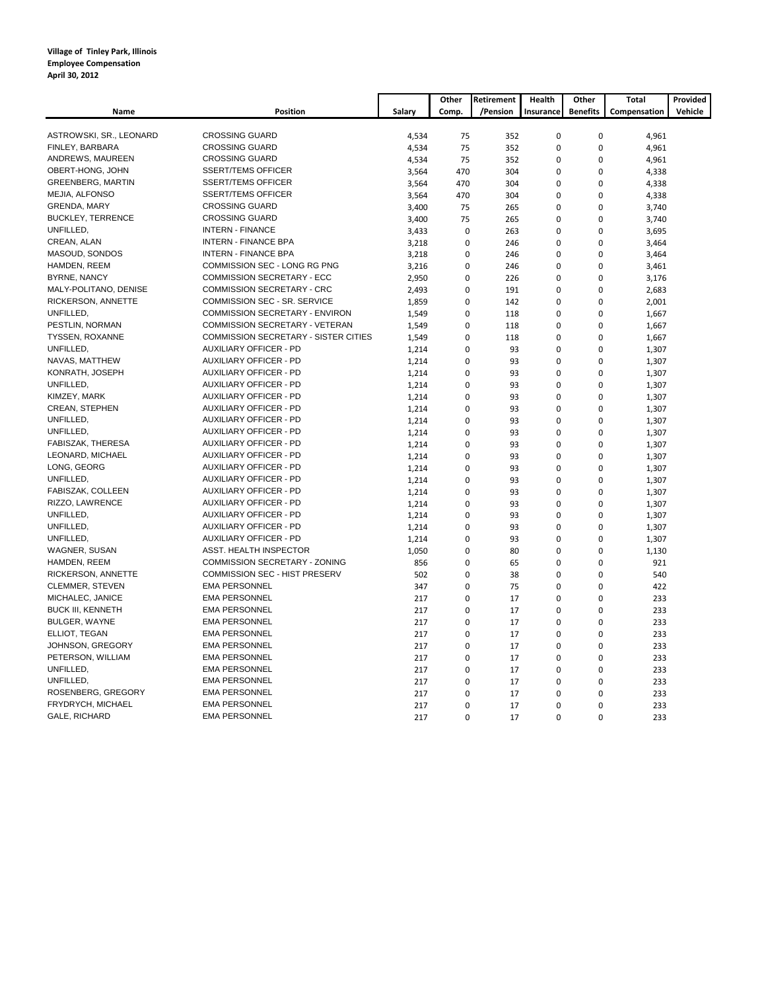|                          |                                             |        | Other       | Retirement | Health      | Other           | Total        | Provided |
|--------------------------|---------------------------------------------|--------|-------------|------------|-------------|-----------------|--------------|----------|
| Name                     | Position                                    | Salary | Comp.       | /Pension   | Insurance   | <b>Benefits</b> | Compensation | Vehicle  |
|                          |                                             |        |             |            |             |                 |              |          |
| ASTROWSKI, SR., LEONARD  | <b>CROSSING GUARD</b>                       | 4,534  | 75          | 352        | $\pmb{0}$   | $\pmb{0}$       | 4,961        |          |
| FINLEY, BARBARA          | <b>CROSSING GUARD</b>                       | 4,534  | 75          | 352        | $\mathbf 0$ | $\mathbf 0$     | 4,961        |          |
| ANDREWS, MAUREEN         | <b>CROSSING GUARD</b>                       | 4,534  | 75          | 352        | $\mathbf 0$ | $\mathbf 0$     | 4,961        |          |
| OBERT-HONG, JOHN         | <b>SSERT/TEMS OFFICER</b>                   | 3,564  | 470         | 304        | $\mathbf 0$ | $\pmb{0}$       | 4,338        |          |
| <b>GREENBERG, MARTIN</b> | <b>SSERT/TEMS OFFICER</b>                   | 3,564  | 470         | 304        | $\mathbf 0$ | $\mathbf 0$     | 4,338        |          |
| MEJIA, ALFONSO           | <b>SSERT/TEMS OFFICER</b>                   | 3,564  | 470         | 304        | $\mathbf 0$ | $\mathbf 0$     | 4,338        |          |
| GRENDA, MARY             | <b>CROSSING GUARD</b>                       | 3,400  | 75          | 265        | $\mathbf 0$ | $\pmb{0}$       | 3,740        |          |
| <b>BUCKLEY, TERRENCE</b> | <b>CROSSING GUARD</b>                       | 3,400  | 75          | 265        | $\mathbf 0$ | $\mathbf 0$     | 3,740        |          |
| UNFILLED,                | <b>INTERN - FINANCE</b>                     | 3,433  | 0           | 263        | $\mathbf 0$ | $\pmb{0}$       | 3,695        |          |
| CREAN, ALAN              | INTERN - FINANCE BPA                        | 3,218  | $\mathbf 0$ | 246        | $\Omega$    | $\mathbf 0$     | 3,464        |          |
| MASOUD, SONDOS           | INTERN - FINANCE BPA                        | 3,218  | $\mathbf 0$ | 246        | $\mathbf 0$ | $\mathbf 0$     | 3,464        |          |
| HAMDEN, REEM             | COMMISSION SEC - LONG RG PNG                | 3,216  | $\mathbf 0$ | 246        | $\mathbf 0$ | $\mathbf 0$     | 3,461        |          |
| <b>BYRNE, NANCY</b>      | COMMISSION SECRETARY - ECC                  | 2,950  | $\mathbf 0$ | 226        | $\mathbf 0$ | $\mathbf 0$     | 3,176        |          |
| MALY-POLITANO, DENISE    | COMMISSION SECRETARY - CRC                  | 2,493  | $\pmb{0}$   | 191        | $\mathbf 0$ | $\pmb{0}$       | 2,683        |          |
| RICKERSON, ANNETTE       | COMMISSION SEC - SR. SERVICE                | 1,859  | $\pmb{0}$   | 142        | $\mathbf 0$ | $\pmb{0}$       | 2,001        |          |
| UNFILLED,                | COMMISSION SECRETARY - ENVIRON              | 1,549  | $\mathbf 0$ | 118        | $\mathbf 0$ | $\mathbf 0$     | 1,667        |          |
| PESTLIN, NORMAN          | COMMISSION SECRETARY - VETERAN              | 1,549  | $\pmb{0}$   | 118        | $\mathbf 0$ | $\pmb{0}$       | 1,667        |          |
| <b>TYSSEN, ROXANNE</b>   | <b>COMMISSION SECRETARY - SISTER CITIES</b> | 1,549  | $\mathbf 0$ | 118        | $\Omega$    | $\mathbf 0$     | 1,667        |          |
| UNFILLED,                | <b>AUXILIARY OFFICER - PD</b>               | 1,214  | $\mathbf 0$ | 93         | $\mathbf 0$ | $\mathbf 0$     | 1,307        |          |
| NAVAS, MATTHEW           | <b>AUXILIARY OFFICER - PD</b>               | 1,214  | $\mathbf 0$ | 93         | $\mathbf 0$ | $\mathbf 0$     | 1,307        |          |
| KONRATH, JOSEPH          | AUXILIARY OFFICER - PD                      | 1,214  | $\mathbf 0$ | 93         | $\mathbf 0$ | $\mathbf 0$     | 1,307        |          |
| UNFILLED,                | AUXILIARY OFFICER - PD                      | 1,214  | $\mathbf 0$ | 93         | $\mathbf 0$ | $\pmb{0}$       | 1,307        |          |
| KIMZEY, MARK             | <b>AUXILIARY OFFICER - PD</b>               | 1,214  | $\pmb{0}$   | 93         | $\mathbf 0$ | $\pmb{0}$       | 1,307        |          |
| CREAN, STEPHEN           | <b>AUXILIARY OFFICER - PD</b>               | 1,214  | $\pmb{0}$   | 93         | $\mathbf 0$ | $\pmb{0}$       | 1,307        |          |
| UNFILLED,                | <b>AUXILIARY OFFICER - PD</b>               | 1,214  | 0           | 93         | $\Omega$    | $\mathbf 0$     | 1,307        |          |
| UNFILLED,                | <b>AUXILIARY OFFICER - PD</b>               | 1,214  | $\Omega$    | 93         | $\Omega$    | $\pmb{0}$       | 1,307        |          |
| FABISZAK, THERESA        | <b>AUXILIARY OFFICER - PD</b>               | 1,214  | $\mathbf 0$ | 93         | $\mathbf 0$ | $\mathbf 0$     | 1,307        |          |
| LEONARD, MICHAEL         | <b>AUXILIARY OFFICER - PD</b>               | 1,214  | $\mathbf 0$ | 93         | $\mathbf 0$ | $\mathbf 0$     | 1,307        |          |
| LONG, GEORG              | <b>AUXILIARY OFFICER - PD</b>               | 1,214  | $\mathbf 0$ | 93         | $\mathbf 0$ | $\mathbf 0$     | 1,307        |          |
| UNFILLED,                | <b>AUXILIARY OFFICER - PD</b>               | 1,214  | $\mathbf 0$ | 93         | $\mathbf 0$ | $\mathbf 0$     | 1,307        |          |
| FABISZAK, COLLEEN        | AUXILIARY OFFICER - PD                      | 1,214  | $\mathbf 0$ | 93         | $\mathbf 0$ | $\mathbf 0$     | 1,307        |          |
| RIZZO, LAWRENCE          | AUXILIARY OFFICER - PD                      | 1,214  | $\pmb{0}$   | 93         | $\mathbf 0$ | $\pmb{0}$       | 1,307        |          |
| UNFILLED,                | AUXILIARY OFFICER - PD                      | 1,214  | $\pmb{0}$   | 93         | $\mathbf 0$ | $\pmb{0}$       | 1,307        |          |
| UNFILLED,                | AUXILIARY OFFICER - PD                      | 1,214  | 0           | 93         | $\mathbf 0$ | $\pmb{0}$       | 1,307        |          |
| UNFILLED,                | AUXILIARY OFFICER - PD                      | 1,214  | $\mathbf 0$ | 93         | $\Omega$    | $\mathbf 0$     | 1,307        |          |
| WAGNER, SUSAN            | ASST. HEALTH INSPECTOR                      | 1,050  | $\Omega$    | 80         | $\Omega$    | $\mathbf 0$     | 1,130        |          |
| HAMDEN, REEM             | COMMISSION SECRETARY - ZONING               | 856    | $\mathbf 0$ | 65         | $\mathbf 0$ | $\pmb{0}$       | 921          |          |
| RICKERSON, ANNETTE       | <b>COMMISSION SEC - HIST PRESERV</b>        | 502    | $\mathbf 0$ | 38         | $\mathbf 0$ | $\pmb{0}$       | 540          |          |
| CLEMMER, STEVEN          | <b>EMA PERSONNEL</b>                        | 347    | $\mathbf 0$ | 75         | $\mathbf 0$ | $\mathbf 0$     | 422          |          |
| MICHALEC, JANICE         | <b>EMA PERSONNEL</b>                        | 217    | $\pmb{0}$   | 17         | $\mathbf 0$ | $\pmb{0}$       | 233          |          |
| <b>BUCK III, KENNETH</b> | <b>EMA PERSONNEL</b>                        | 217    | $\mathbf 0$ | 17         | $\mathbf 0$ | $\mathbf 0$     | 233          |          |
| BULGER, WAYNE            | <b>EMA PERSONNEL</b>                        | 217    | $\mathbf 0$ | 17         | $\mathbf 0$ | $\mathbf 0$     | 233          |          |
| ELLIOT, TEGAN            | <b>EMA PERSONNEL</b>                        | 217    | $\mathbf 0$ | 17         | $\mathbf 0$ | $\mathbf 0$     | 233          |          |
| JOHNSON, GREGORY         | <b>EMA PERSONNEL</b>                        | 217    | $\mathbf 0$ | 17         | $\mathbf 0$ | $\mathbf 0$     | 233          |          |
| PETERSON, WILLIAM        | <b>EMA PERSONNEL</b>                        | 217    | $\mathbf 0$ | 17         | $\mathbf 0$ | $\mathbf 0$     | 233          |          |
| UNFILLED,                | <b>EMA PERSONNEL</b>                        | 217    | $\mathbf 0$ | 17         | $\Omega$    | $\mathbf 0$     | 233          |          |
| UNFILLED,                | <b>EMA PERSONNEL</b>                        | 217    | $\pmb{0}$   | 17         | $\mathbf 0$ | $\pmb{0}$       | 233          |          |
| ROSENBERG, GREGORY       | <b>EMA PERSONNEL</b>                        | 217    | $\pmb{0}$   | 17         | $\mathbf 0$ | $\mathbf 0$     | 233          |          |
| FRYDRYCH, MICHAEL        | <b>EMA PERSONNEL</b>                        | 217    | 0           | 17         | $\mathbf 0$ | $\mathbf 0$     | 233          |          |
| GALE, RICHARD            | <b>EMA PERSONNEL</b>                        | 217    | $\pmb{0}$   | 17         | $\Omega$    | 0               | 233          |          |
|                          |                                             |        |             |            |             |                 |              |          |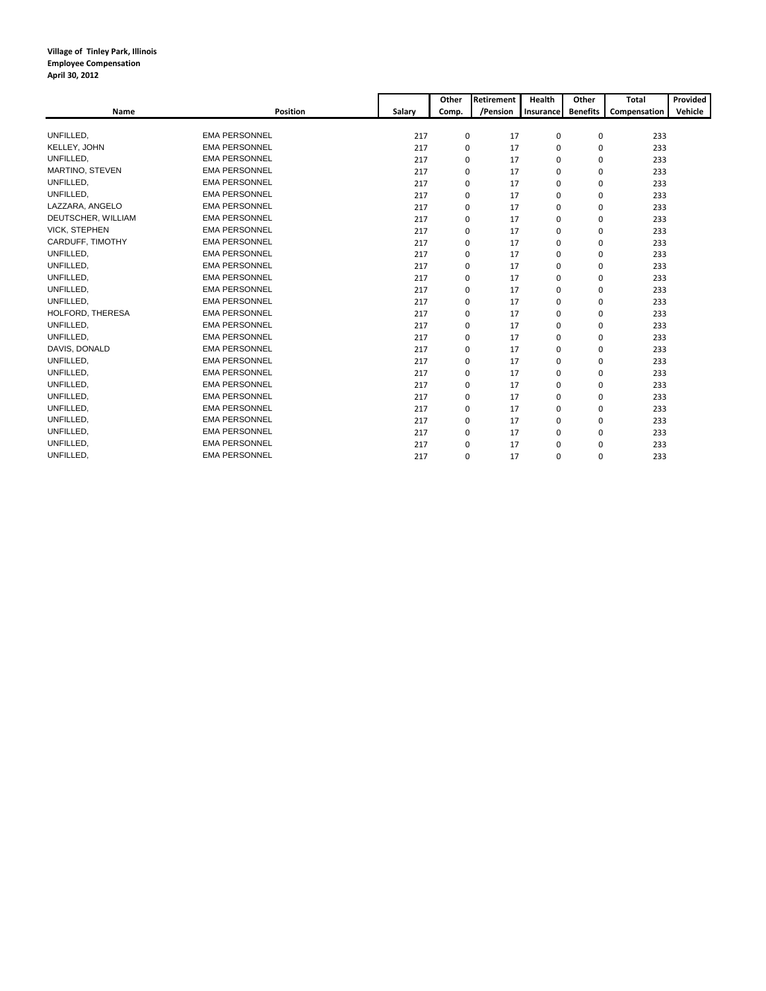|                      |                      |        | Other       | Retirement | <b>Health</b> | Other           | Total        | Provided |
|----------------------|----------------------|--------|-------------|------------|---------------|-----------------|--------------|----------|
| Name                 | <b>Position</b>      | Salary | Comp.       | /Pension   | Insurance     | <b>Benefits</b> | Compensation | Vehicle  |
|                      |                      |        |             |            |               |                 |              |          |
| UNFILLED.            | <b>EMA PERSONNEL</b> | 217    | 0           | 17         | $\mathbf 0$   | 0               | 233          |          |
| KELLEY, JOHN         | <b>EMA PERSONNEL</b> | 217    | $\Omega$    | 17         | $\Omega$      | 0               | 233          |          |
| UNFILLED,            | <b>EMA PERSONNEL</b> | 217    | 0           | 17         | $\mathbf 0$   | 0               | 233          |          |
| MARTINO, STEVEN      | <b>EMA PERSONNEL</b> | 217    | 0           | 17         | $\mathbf 0$   | 0               | 233          |          |
| UNFILLED,            | <b>EMA PERSONNEL</b> | 217    | 0           | 17         | $\mathbf 0$   | 0               | 233          |          |
| UNFILLED.            | <b>EMA PERSONNEL</b> | 217    | 0           | 17         | $\mathbf 0$   | 0               | 233          |          |
| LAZZARA, ANGELO      | <b>EMA PERSONNEL</b> | 217    | $\Omega$    | 17         | $\Omega$      | 0               | 233          |          |
| DEUTSCHER, WILLIAM   | <b>EMA PERSONNEL</b> | 217    | 0           | 17         | $\Omega$      | 0               | 233          |          |
| <b>VICK, STEPHEN</b> | <b>EMA PERSONNEL</b> | 217    | 0           | 17         | $\mathbf 0$   | 0               | 233          |          |
| CARDUFF, TIMOTHY     | <b>EMA PERSONNEL</b> | 217    | 0           | 17         | $\mathbf 0$   | 0               | 233          |          |
| UNFILLED,            | <b>EMA PERSONNEL</b> | 217    | $\mathbf 0$ | 17         | $\mathbf 0$   | 0               | 233          |          |
| UNFILLED,            | <b>EMA PERSONNEL</b> | 217    | 0           | 17         | $\mathbf 0$   | 0               | 233          |          |
| UNFILLED,            | <b>EMA PERSONNEL</b> | 217    | 0           | 17         | $\mathbf 0$   | 0               | 233          |          |
| UNFILLED,            | <b>EMA PERSONNEL</b> | 217    | 0           | 17         | $\mathbf 0$   | 0               | 233          |          |
| <b>UNFILLED</b>      | <b>EMA PERSONNEL</b> | 217    | 0           | 17         | $\mathbf 0$   | 0               | 233          |          |
| HOLFORD, THERESA     | <b>EMA PERSONNEL</b> | 217    | 0           | 17         | $\mathbf 0$   | 0               | 233          |          |
| UNFILLED,            | <b>EMA PERSONNEL</b> | 217    | $\Omega$    | 17         | $\Omega$      | 0               | 233          |          |
| UNFILLED,            | <b>EMA PERSONNEL</b> | 217    | 0           | 17         | $\Omega$      | 0               | 233          |          |
| DAVIS, DONALD        | <b>EMA PERSONNEL</b> | 217    | 0           | 17         | $\mathbf 0$   | 0               | 233          |          |
| UNFILLED.            | <b>EMA PERSONNEL</b> | 217    | 0           | 17         | $\mathbf 0$   | 0               | 233          |          |
| UNFILLED,            | <b>EMA PERSONNEL</b> | 217    | $\mathbf 0$ | 17         | $\mathbf 0$   | 0               | 233          |          |
| UNFILLED,            | <b>EMA PERSONNEL</b> | 217    | 0           | 17         | $\mathbf 0$   | 0               | 233          |          |
| UNFILLED.            | <b>EMA PERSONNEL</b> | 217    | 0           | 17         | $\mathbf 0$   | 0               | 233          |          |
| UNFILLED.            | <b>EMA PERSONNEL</b> | 217    | 0           | 17         | $\mathbf 0$   | 0               | 233          |          |
| <b>UNFILLED</b>      | <b>EMA PERSONNEL</b> | 217    | 0           | 17         | $\mathbf 0$   | 0               | 233          |          |
| UNFILLED.            | <b>EMA PERSONNEL</b> | 217    | 0           | 17         | $\Omega$      | 0               | 233          |          |
| UNFILLED,            | <b>EMA PERSONNEL</b> | 217    | 0           | 17         | $\mathbf 0$   | 0               | 233          |          |
| UNFILLED.            | <b>EMA PERSONNEL</b> | 217    | 0           | 17         | $\mathbf 0$   | 0               | 233          |          |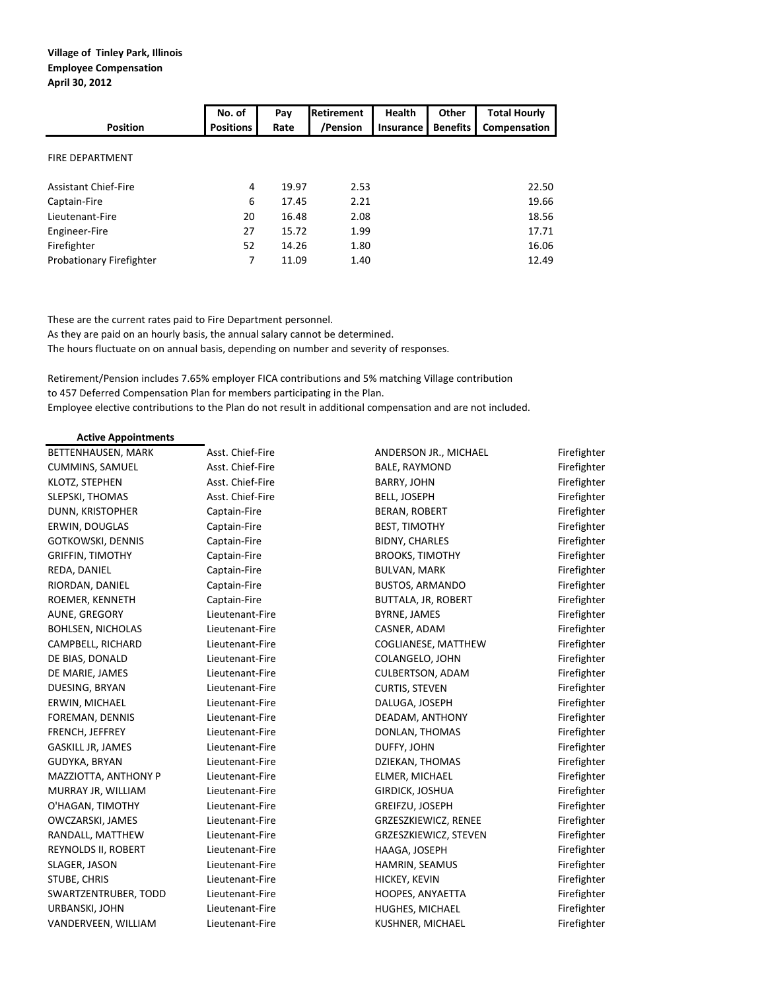|                             | No. of           | Pay   | <b>Retirement</b> | <b>Health</b>    | Other           | <b>Total Hourly</b> |
|-----------------------------|------------------|-------|-------------------|------------------|-----------------|---------------------|
| <b>Position</b>             | <b>Positions</b> | Rate  | /Pension          | <b>Insurance</b> | <b>Benefits</b> | Compensation        |
| <b>FIRE DEPARTMENT</b>      |                  |       |                   |                  |                 |                     |
| <b>Assistant Chief-Fire</b> | 4                | 19.97 | 2.53              |                  |                 | 22.50               |
| Captain-Fire                | 6                | 17.45 | 2.21              |                  |                 | 19.66               |
| Lieutenant-Fire             | 20               | 16.48 | 2.08              |                  |                 | 18.56               |
| Engineer-Fire               | 27               | 15.72 | 1.99              |                  |                 | 17.71               |
| Firefighter                 | 52               | 14.26 | 1.80              |                  |                 | 16.06               |
| Probationary Firefighter    | 7                | 11.09 | 1.40              |                  |                 | 12.49               |

These are the current rates paid to Fire Department personnel.

As they are paid on an hourly basis, the annual salary cannot be determined.

The hours fluctuate on on annual basis, depending on number and severity of responses.

Retirement/Pension includes 7.65% employer FICA contributions and 5% matching Village contribution to 457 Deferred Compensation Plan for members participating in the Plan. Employee elective contributions to the Plan do not result in additional compensation and are not included.

## **Active Appointments**

| BETTENHAUSEN, MARK         | ASSt. Chief-Fire | ANDERSON JR., MILHAEL   | Firengnter  |
|----------------------------|------------------|-------------------------|-------------|
| <b>CUMMINS, SAMUEL</b>     | Asst. Chief-Fire | BALE, RAYMOND           | Firefighter |
| KLOTZ, STEPHEN             | Asst. Chief-Fire | BARRY, JOHN             | Firefighter |
| SLEPSKI, THOMAS            | Asst. Chief-Fire | BELL, JOSEPH            | Firefighter |
| DUNN, KRISTOPHER           | Captain-Fire     | <b>BERAN, ROBERT</b>    | Firefighter |
| ERWIN, DOUGLAS             | Captain-Fire     | <b>BEST, TIMOTHY</b>    | Firefighter |
| GOTKOWSKI, DENNIS          | Captain-Fire     | BIDNY, CHARLES          | Firefighter |
| <b>GRIFFIN, TIMOTHY</b>    | Captain-Fire     | <b>BROOKS, TIMOTHY</b>  | Firefighter |
| REDA, DANIEL               | Captain-Fire     | <b>BULVAN, MARK</b>     | Firefighter |
| RIORDAN, DANIEL            | Captain-Fire     | <b>BUSTOS, ARMANDO</b>  | Firefighter |
| ROEMER, KENNETH            | Captain-Fire     | BUTTALA, JR, ROBERT     | Firefighter |
| AUNE, GREGORY              | Lieutenant-Fire  | BYRNE, JAMES            | Firefighter |
| <b>BOHLSEN, NICHOLAS</b>   | Lieutenant-Fire  | CASNER, ADAM            | Firefighter |
| CAMPBELL, RICHARD          | Lieutenant-Fire  | COGLIANESE, MATTHEW     | Firefighter |
| DE BIAS, DONALD            | Lieutenant-Fire  | COLANGELO, JOHN         | Firefighter |
| DE MARIE, JAMES            | Lieutenant-Fire  | <b>CULBERTSON, ADAM</b> | Firefighter |
| DUESING, BRYAN             | Lieutenant-Fire  | <b>CURTIS, STEVEN</b>   | Firefighter |
| ERWIN, MICHAEL             | Lieutenant-Fire  | DALUGA, JOSEPH          | Firefighter |
| FOREMAN, DENNIS            | Lieutenant-Fire  | DEADAM, ANTHONY         | Firefighter |
| FRENCH, JEFFREY            | Lieutenant-Fire  | DONLAN, THOMAS          | Firefighter |
| <b>GASKILL JR, JAMES</b>   | Lieutenant-Fire  | DUFFY, JOHN             | Firefighter |
| <b>GUDYKA, BRYAN</b>       | Lieutenant-Fire  | DZIEKAN, THOMAS         | Firefighter |
| MAZZIOTTA, ANTHONY P       | Lieutenant-Fire  | ELMER, MICHAEL          | Firefighter |
| MURRAY JR, WILLIAM         | Lieutenant-Fire  | GIRDICK, JOSHUA         | Firefighter |
| O'HAGAN, TIMOTHY           | Lieutenant-Fire  | GREIFZU, JOSEPH         | Firefighter |
| OWCZARSKI, JAMES           | Lieutenant-Fire  | GRZESZKIEWICZ, RENEE    | Firefighter |
| RANDALL, MATTHEW           | Lieutenant-Fire  | GRZESZKIEWICZ, STEVEN   | Firefighter |
| <b>REYNOLDS II, ROBERT</b> | Lieutenant-Fire  | HAAGA, JOSEPH           | Firefighter |
| SLAGER, JASON              | Lieutenant-Fire  | HAMRIN, SEAMUS          | Firefighter |
| STUBE, CHRIS               | Lieutenant-Fire  | HICKEY, KEVIN           | Firefighter |
| SWARTZENTRUBER, TODD       | Lieutenant-Fire  | HOOPES, ANYAETTA        | Firefighter |
| URBANSKI, JOHN             | Lieutenant-Fire  | HUGHES, MICHAEL         | Firefighter |
| VANDERVEEN, WILLIAM        | Lieutenant-Fire  | KUSHNER, MICHAEL        | Firefighter |
|                            |                  |                         |             |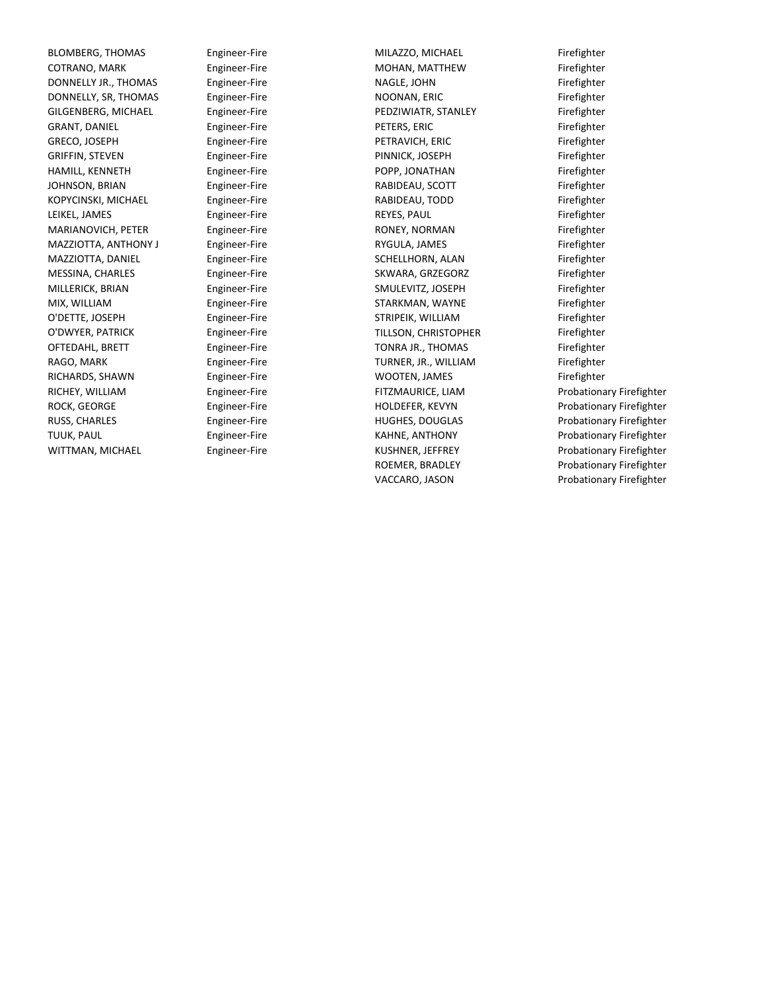BLOMBERG, THOMAS Engineer-Fire The MILAZZO, MICHAEL Firefighter COTRANO, MARK Engineer-Fire Firefighter MOHAN, MATTHEW DONNELLY JR., THOMAS Engineer-Fire **Example 20 NAGLE, JOHN** Firefighter DONNELLY, SR, THOMAS Engineer-Fire **Engineer-Fire** NOONAN, ERIC **Engineer-Fire** River is exampled to the engineer-Fire GILGENBERG, MICHAEL Engineer-Fire **Filter Example 20 Firefighter** PEDZIWIATR, STANLEY Firefighter GRANT, DANIEL Engineer-Fire Firefighter GRECO, JOSEPH Engineer-Fire Firefighter PETRAVICH, ERIC GRIFFIN, STEVEN Engineer-Fire Firefighter PINNICK, JOSEPH HAMILL, KENNETH Engineer-Fire **Fixed Engineer-Fire** POPP, JONATHAN Firefighter JOHNSON, BRIAN Engineer-Fire Firefighter RABIDEAU, SCOTT KOPYCINSKI, MICHAEL Engineer-Fire **Engineer-Fire** RABIDEAU, TODD Firefighter LEIKEL, JAMES Engineer-Fire Firefighter MARIANOVICH, PETER Engineer-Fire Fire RONEY, NORMAN Firefighter Firefighter MAZZIOTTA, ANTHONY J Engineer-Fire **RYGULA, JAMES** Firefighter MAZZIOTTA, DANIEL Engineer-Fire Fire SCHELLHORN, ALAN Firefighter MESSINA, CHARLES Engineer-Fire Firefighter SKWARA, GRZEGORZ MILLERICK, BRIAN Engineer-Fire Firefighter SMULEVITZ, JOSEPH MIX, WILLIAM Engineer-Fire Firefighter STARKMAN, WAYNE O'DETTE, JOSEPH Engineer-Fire Firefighter STRIPEIK, WILLIAM O'DWYER, PATRICK Engineer-Fire Firefighter TILLSON, CHRISTOPHER OFTEDAHL, BRETT Engineer-Fire Firefighter TONRA JR., THOMAS RAGO, MARK Engineer-Fire Firefighter TURNER, JR., WILLIAM RICHARDS, SHAWN Engineer-Fire **Engineer-Fire** WOOTEN, JAMES Firefighter RICHEY, WILLIAM Engineer-Fire ROCK, GEORGE Engineer-Fire RUSS, CHARLES Engineer-Fire TUUK, PAUL **Engineer-Fire** WITTMAN, MICHAEL Engineer-Fire

POPP, JONATHAN MILAZZO, MICHAEL NAGLE, JOHN NOONAN, ERIC PEDZIWIATR, STANLEY PETERS, ERIC RABIDEAU, TODD REYES, PAUL RONEY, NORMAN RYGULA, JAMES SCHELLHORN, ALAN WOOTEN, JAMES FITZMAURICE, LIAM HOLDEFER, KEVYN HUGHES, DOUGLAS KAHNE, ANTHONY KUSHNER, JEFFREY ROEMER, BRADLEY VACCARO, JASON

Probationary Firefighter Probationary Firefighter Probationary Firefighter Probationary Firefighter Probationary Firefighter Probationary Firefighter Probationary Firefighter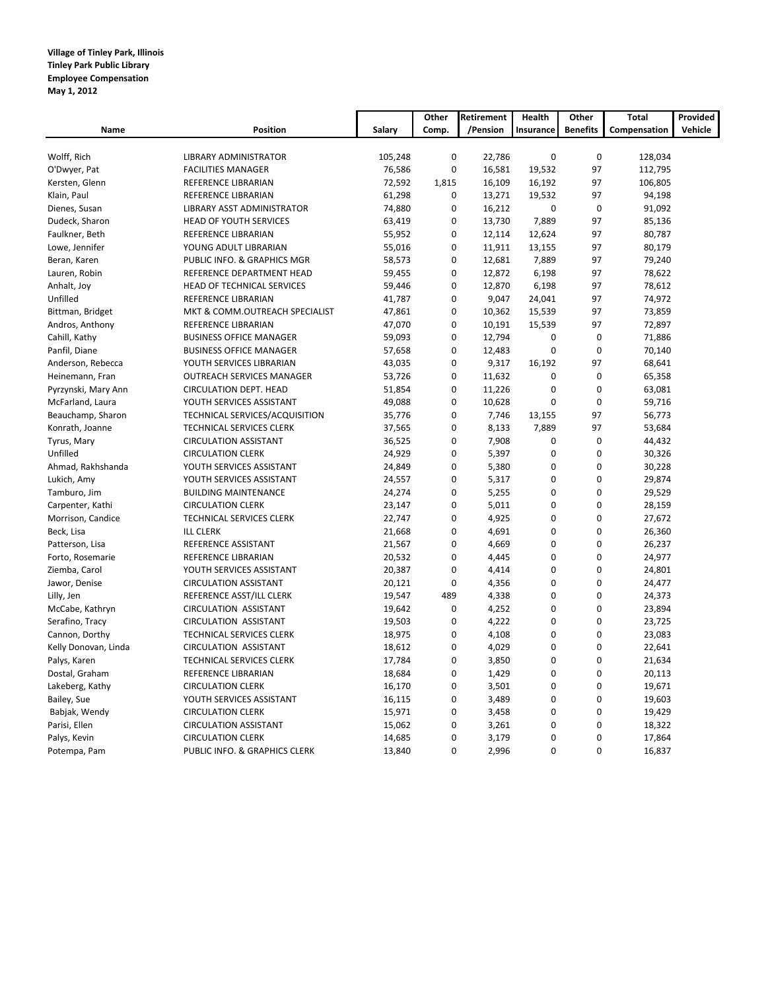### **Village of Tinley Park, Illinois Tinley Park Public Library Employee Compensation May 1, 2012**

|                      |                                  |         | Other       | Retirement | Health      | Other           | Total        | Provided |
|----------------------|----------------------------------|---------|-------------|------------|-------------|-----------------|--------------|----------|
| Name                 | <b>Position</b>                  | Salary  | Comp.       | /Pension   | Insurance   | <b>Benefits</b> | Compensation | Vehicle  |
|                      |                                  |         |             |            |             |                 |              |          |
| Wolff, Rich          | LIBRARY ADMINISTRATOR            | 105,248 | $\pmb{0}$   | 22,786     | $\pmb{0}$   | $\mathbf 0$     | 128,034      |          |
| O'Dwyer, Pat         | <b>FACILITIES MANAGER</b>        | 76,586  | $\pmb{0}$   | 16,581     | 19,532      | 97              | 112,795      |          |
| Kersten, Glenn       | REFERENCE LIBRARIAN              | 72,592  | 1,815       | 16,109     | 16,192      | 97              | 106,805      |          |
| Klain, Paul          | REFERENCE LIBRARIAN              | 61,298  | $\pmb{0}$   | 13,271     | 19,532      | 97              | 94,198       |          |
| Dienes, Susan        | LIBRARY ASST ADMINISTRATOR       | 74,880  | $\mathbf 0$ | 16,212     | $\mathbf 0$ | $\mathbf 0$     | 91,092       |          |
| Dudeck, Sharon       | <b>HEAD OF YOUTH SERVICES</b>    | 63,419  | $\mathbf 0$ | 13,730     | 7,889       | 97              | 85,136       |          |
| Faulkner, Beth       | REFERENCE LIBRARIAN              | 55,952  | $\pmb{0}$   | 12,114     | 12,624      | 97              | 80,787       |          |
| Lowe, Jennifer       | YOUNG ADULT LIBRARIAN            | 55,016  | $\mathbf 0$ | 11,911     | 13,155      | 97              | 80,179       |          |
| Beran, Karen         | PUBLIC INFO. & GRAPHICS MGR      | 58,573  | $\mathbf 0$ | 12,681     | 7,889       | 97              | 79,240       |          |
| Lauren, Robin        | REFERENCE DEPARTMENT HEAD        | 59,455  | 0           | 12,872     | 6,198       | 97              | 78,622       |          |
| Anhalt, Joy          | HEAD OF TECHNICAL SERVICES       | 59,446  | $\mathbf 0$ | 12,870     | 6,198       | 97              | 78,612       |          |
| Unfilled             | REFERENCE LIBRARIAN              | 41,787  | 0           | 9,047      | 24,041      | 97              | 74,972       |          |
| Bittman, Bridget     | MKT & COMM.OUTREACH SPECIALIST   | 47,861  | 0           | 10,362     | 15,539      | 97              | 73,859       |          |
| Andros, Anthony      | REFERENCE LIBRARIAN              | 47,070  | $\mathbf 0$ | 10,191     | 15,539      | 97              | 72,897       |          |
| Cahill, Kathy        | <b>BUSINESS OFFICE MANAGER</b>   | 59,093  | $\pmb{0}$   | 12,794     | 0           | $\mathbf 0$     | 71,886       |          |
| Panfil, Diane        | <b>BUSINESS OFFICE MANAGER</b>   | 57,658  | 0           | 12,483     | 0           | $\mathbf 0$     | 70,140       |          |
| Anderson, Rebecca    | YOUTH SERVICES LIBRARIAN         | 43,035  | $\mathbf 0$ | 9,317      | 16,192      | 97              | 68,641       |          |
| Heinemann, Fran      | <b>OUTREACH SERVICES MANAGER</b> | 53,726  | $\pmb{0}$   | 11,632     | 0           | $\mathbf 0$     | 65,358       |          |
| Pyrzynski, Mary Ann  | CIRCULATION DEPT. HEAD           | 51,854  | 0           | 11,226     | 0           | $\mathbf 0$     | 63,081       |          |
| McFarland, Laura     | YOUTH SERVICES ASSISTANT         | 49,088  | $\mathbf 0$ | 10,628     | 0           | $\mathbf 0$     | 59,716       |          |
| Beauchamp, Sharon    | TECHNICAL SERVICES/ACQUISITION   | 35,776  | $\mathbf 0$ | 7,746      | 13,155      | 97              | 56,773       |          |
| Konrath, Joanne      | TECHNICAL SERVICES CLERK         | 37,565  | $\mathbf 0$ | 8,133      | 7,889       | 97              | 53,684       |          |
| Tyrus, Mary          | <b>CIRCULATION ASSISTANT</b>     | 36,525  | $\mathbf 0$ | 7,908      | 0           | $\mathbf 0$     | 44,432       |          |
| Unfilled             | <b>CIRCULATION CLERK</b>         | 24,929  | $\mathbf 0$ | 5,397      | 0           | $\mathbf 0$     | 30,326       |          |
| Ahmad, Rakhshanda    | YOUTH SERVICES ASSISTANT         | 24,849  | $\mathbf 0$ | 5,380      | 0           | $\mathbf 0$     | 30,228       |          |
| Lukich, Amy          | YOUTH SERVICES ASSISTANT         | 24,557  | $\pmb{0}$   | 5,317      | 0           | $\mathbf 0$     | 29,874       |          |
| Tamburo, Jim         | <b>BUILDING MAINTENANCE</b>      | 24,274  | $\mathbf 0$ | 5,255      | $\mathbf 0$ | $\mathbf 0$     | 29,529       |          |
| Carpenter, Kathi     | <b>CIRCULATION CLERK</b>         | 23,147  | $\mathbf 0$ | 5,011      | 0           | $\mathbf 0$     | 28,159       |          |
| Morrison, Candice    | <b>TECHNICAL SERVICES CLERK</b>  | 22,747  | $\mathbf 0$ | 4,925      | $\mathbf 0$ | $\Omega$        | 27,672       |          |
| Beck, Lisa           | <b>ILL CLERK</b>                 | 21,668  | $\mathbf 0$ | 4,691      | $\mathbf 0$ | $\mathbf 0$     | 26,360       |          |
| Patterson, Lisa      | REFERENCE ASSISTANT              | 21,567  | $\mathbf 0$ | 4,669      | 0           | $\mathbf 0$     | 26,237       |          |
| Forto, Rosemarie     | REFERENCE LIBRARIAN              | 20,532  | $\Omega$    | 4,445      | $\Omega$    | $\Omega$        | 24,977       |          |
| Ziemba, Carol        | YOUTH SERVICES ASSISTANT         | 20,387  | $\mathbf 0$ | 4,414      | 0           | $\mathbf 0$     | 24,801       |          |
| Jawor, Denise        | <b>CIRCULATION ASSISTANT</b>     | 20,121  | $\mathbf 0$ | 4,356      | 0           | $\mathbf 0$     | 24,477       |          |
| Lilly, Jen           | REFERENCE ASST/ILL CLERK         | 19,547  | 489         | 4,338      | 0           | $\mathbf 0$     | 24,373       |          |
| McCabe, Kathryn      | <b>CIRCULATION ASSISTANT</b>     | 19,642  | $\mathbf 0$ | 4,252      | 0           | $\mathbf 0$     | 23,894       |          |
| Serafino, Tracy      | <b>CIRCULATION ASSISTANT</b>     | 19,503  | $\pmb{0}$   | 4,222      | 0           | $\mathbf 0$     | 23,725       |          |
| Cannon, Dorthy       | TECHNICAL SERVICES CLERK         | 18,975  | 0           | 4,108      | 0           | $\mathbf 0$     | 23,083       |          |
| Kelly Donovan, Linda | <b>CIRCULATION ASSISTANT</b>     | 18,612  | $\mathbf 0$ | 4,029      | 0           | $\mathbf 0$     | 22,641       |          |
| Palys, Karen         | TECHNICAL SERVICES CLERK         | 17,784  | $\pmb{0}$   | 3,850      | 0           | $\mathbf 0$     | 21,634       |          |
| Dostal, Graham       | REFERENCE LIBRARIAN              | 18,684  | 0           | 1,429      | 0           | $\mathbf 0$     | 20,113       |          |
| Lakeberg, Kathy      | <b>CIRCULATION CLERK</b>         | 16,170  | $\pmb{0}$   | 3,501      | 0           | $\mathbf 0$     | 19,671       |          |
| Bailey, Sue          | YOUTH SERVICES ASSISTANT         | 16,115  | $\mathbf 0$ | 3,489      | 0           | $\mathbf 0$     | 19,603       |          |
| Babjak, Wendy        | <b>CIRCULATION CLERK</b>         | 15,971  | 0           | 3,458      | 0           | $\mathbf 0$     | 19,429       |          |
| Parisi, Ellen        | <b>CIRCULATION ASSISTANT</b>     | 15,062  | $\mathbf 0$ | 3,261      | 0           | $\mathbf 0$     | 18,322       |          |
| Palys, Kevin         | <b>CIRCULATION CLERK</b>         | 14,685  | $\mathbf 0$ | 3,179      | 0           | $\mathbf 0$     | 17,864       |          |
|                      | PUBLIC INFO. & GRAPHICS CLERK    | 13,840  | $\mathbf 0$ | 2,996      | 0           | $\mathbf 0$     | 16,837       |          |
| Potempa, Pam         |                                  |         |             |            |             |                 |              |          |